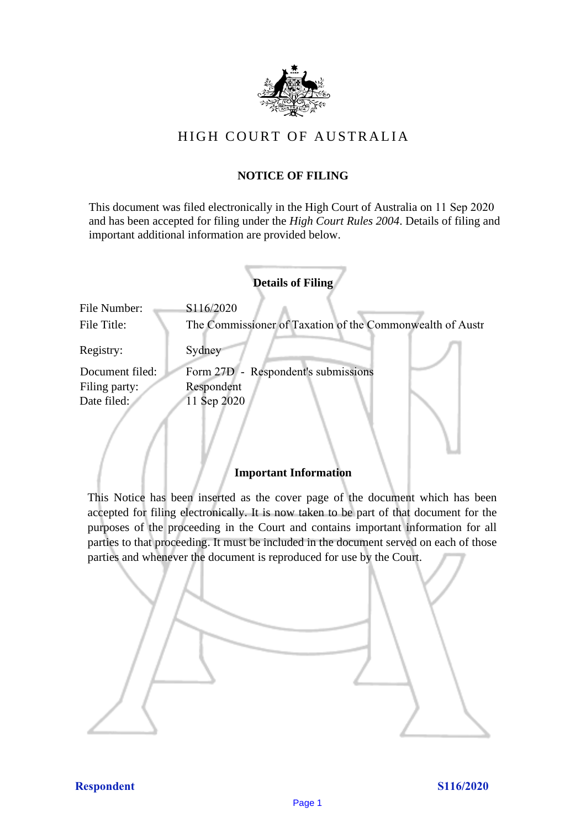

# HIGH COURT OF AU STRALIA HIGH COURT OF AUSTRALIA

# **NOTICE OF FILING** NOTICE OF FILING

This document was filed electronically in the High Court of Australia on 11 Sep 2020 This document was filed electronically in the High Court of Australia 0 and has been accepted for filing under the *High Court Rules 2004*. Details of filing and important additional information are provided below. important additional information are provided below.

|                 | <b>Details of Filing</b>                                  |
|-----------------|-----------------------------------------------------------|
| File Number:    | S116/2020                                                 |
| File Title:     | The Commissioner of Taxation of the Commonwealth of Austr |
| Registry:       | Sydney                                                    |
| Document filed: | Form 27D - Respondent's submissions                       |
| Filing party:   | Respondent                                                |
| Date filed:     | 11 Sep 2020                                               |
|                 |                                                           |

# **Important Information** Important Information

This Notice has been inserted as the cover page of the document which has been accepted for filing electronically. It is now taken to be part of that document for the purposes of the proceeding in the Court and contains important information for all parties to that proceeding. It must be included in the document served on each of those parties and whenever the document is reproduced for use by the Court. parties and whenever the document is reproduced for use by the Court

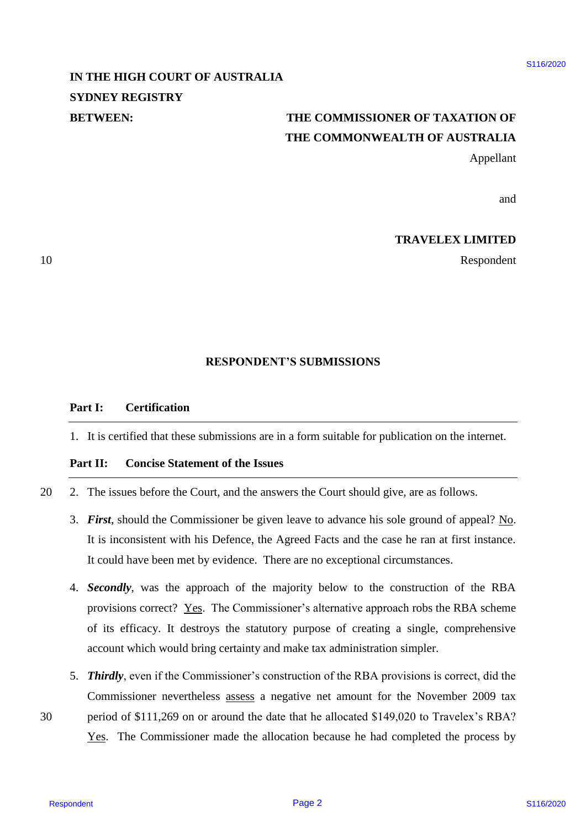# **IN THE HIGH COURT OF AUSTRALIA**  IN THE HIGH COURT OF AUSTRALIA **SYDNEY REGISTRY** SYDNEY REGISTRY

# **BETWEEN: THE COMMISSIONER OF TAXATION OF**  BETWEEN: THE COMMISSIONER OF TAXATION OF **THE COMMONWEALTH OF AUSTRALIA** THE COMMONWEALTH OF AUSTRALIA

Appellant Appellant

and and

# **TRAVELEX LIMITED** TRAVELEX LIMITED

10 Respondent Respondent

# **RESPONDENT'S SUBMISSIONS** RESPONDENT'S SUBMISSIONS

#### **Part I: Certification** Part I: Certification

1. It is certified that these submissions are in a form suitable for publication on the internet. . Itis certified that these submissions are in a form suitable for publication on the internet.

# **Part II: Concise Statement of the Issues** Part II: Concise Statement of the Issues

20 2. The issues before the Court, and the answers the Court should give, are as follows. . The issues before the Court, and the answers the Court should give, are as follows. 20

- 3. First, should the Commissioner be given leave to advance his sole ground of appeal? No. It is inconsistent with his Defence, the Agreed Facts and the case he ran at first instance. It is inconsistent with his Defence, the Agreed Facts and the case he ran at first instance. It could have been met by evidence. There are no exceptional circumstances. It could have been met by evidence. There are no exceptional circumstances.
- 4. **Secondly**, was the approach of the majority below to the construction of the RBA provisions correct? Yes. The Commissioner's alternative approach robs the RBA scheme of its efficacy. It destroys the statutory purpose of creating a single, comprehensive of its efficacy. It destroys the statutory purpose of creating <sup>a</sup> single, comprehensive account which would bring certainty and make tax administration simpler. account which would bring certainty and make tax administration simpler. **IN THE HIGH COURT OF AUSTRALIA** SUBSERVED SIMPLET (SYDNESSIONER OF TAXATION OF THE COMMONWELTH OF AUSTRALIA (FIGURE COMMONWELTH OF AUSTRALIA (Applilant and a<br> **THE COMMONWELTH OF** AUSTRALIA (Applilant and a<br> **THE COMMONW**
- 5. Thirdly, even if the Commissioner's construction of the RBA provisions is correct, did the Commissioner nevertheless assess a negative net amount for the November 2009 tax Commissioner nevertheless assess <sup>a</sup> negative net amount for the November 2009 tax 30 period of \$111,269 on or around the date that he allocated \$149,020 to Travelex's RBA? period of \$111,269 on or around the date that he allocated \$149,020 to Travelex's RBA?
	- Yes. The Commissioner made the allocation because he had completed the process by Yes. The Commissioner made the allocation because he had completed the process by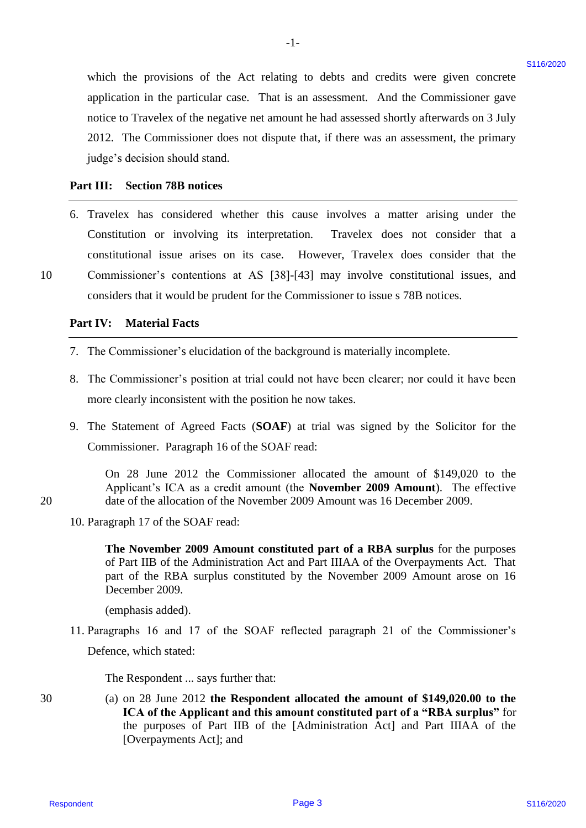which the provisions of the Act relating to debts and credits were given concrete which the provisions of the Act relating to debts and credits were given concrete application in the particular case. That is an assessment. And the Commissioner gave application in the particular case. That is an assessment. And the Commissioner gave notice to Travelex of the negative net amount he had assessed shortly afterwards on 3 July notice to Travelex of the negative net amount he had assessed shortly afterwards on <sup>3</sup> July 2012. The Commissioner does not dispute that, if there was an assessment, the primary 2012. The Commissioner does not dispute that, if there was an assessment, the primary judge's decision should stand. judge's decision should stand.

 $-1-$ 

#### **Part III: Section 78B notices** Part II: Section 78B notices

6. Travelex has considered whether this cause involves a matter arising under the Travelex has considered whether this cause involves <sup>a</sup> matter arising under the Constitution or involving its interpretation. Travelex does not consider that a Constitution or involving its interpretation. Travelex does not consider that a constitutional issue arises on its case. However, Travelex does consider that the constitutional issue arises on its case. However, Travelex does consider that the 10 Commissioner's contentions at AS [38]-[43] may involve constitutional issues, and Commissioner's contentions at AS [38]-[43] may involve constitutional issues, and considers that it would be prudent for the Commissioner to issue s 78B notices. considers that it would be prudent for the Commissioner to issue <sup>s</sup> 78B notices. which the provisions of the Act relating to debts and exotis were given concered<br>experiments of the perfusion and the content and the masses of notice<br>profile content of the perfusion can be sensite to the act is sensite

# **Part IV: Material Facts** PartIV: Material Facts

10

20

30

- 7. The Commissioner's elucidation of the background is materially incomplete. 7. The Commissioner's elucidation of the background is materially incomplete.
- 8. The Commissioner's position at trial could not have been clearer; nor could it have been 8. The Commissioner's position at trial could not have been clearer; nor could it have been more clearly inconsistent with the position he now takes. more clearly inconsistent with the position he now takes.
- 9. The Statement of Agreed Facts (SOAF) at trial was signed by the Solicitor for the Commissioner. Paragraph 16 of the SOAF read: Commissioner. Paragraph 16 of the SOAF read:

On 28 June 2012 the Commissioner allocated the amount of \$149,020 to the On 28 June 2012 the Commissioner allocated the amount of \$149,020 to the Applicant's ICA as a credit amount (the **November 2009 Amount**). The effective Applicant's ICA as <sup>a</sup> credit amount (the November 2009 Amount). The effective 20 date of the allocation of the November 2009 Amount was 16 December 2009. date of the allocation of the November 2009 Amount was 16 December 2009.

10. Paragraph 17 of the SOAF read: 10. Paragraph <sup>17</sup> of the SOAF read:

**The November 2009 Amount constituted part of a RBA surplus** for the purposes The November 2009 Amount constituted part of a RBA surplus for the purposes of Part IIB of the Administration Act and Part IIIAA of the Overpayments Act. That of Part IIB of the Administration Act and Part II[AA of the Overpayments Act. That part of the RBA surplus constituted by the November 2009 Amount arose on 16 part of the RBA surplus constituted by the November 2009 Amount arose on 16 December 2009. December 2009.

(emphasis added). (emphasis added).

11. Paragraphs 16 and 17 of the SOAF reflected paragraph 21 of the Commissioner's 11 .Paragraphs 16 and 17 of the SOAF reflected paragraph 21 of the Commissioner's Defence, which stated: Defence, which stated:

The Respondent ... says further that: The Respondent ... says further that:

30 (a) on 28 June 2012 **the Respondent allocated the amount of \$149,020.00 to the**  (a) on 28 June2012 the Respondent allocated the amount of \$149,020.00 to the **ICA of the Applicant and this amount constituted part of a "RBA surplus"** for ICA of the Applicant and this amount constituted part of a "RBA surplus" for the purposes of Part IIB of the [Administration Act] and Part IIIAA of the the purposes of Part IIB of the [Administration Act] and Part IIAA of the [Overpayments Act]; and [Overpayments Act]; and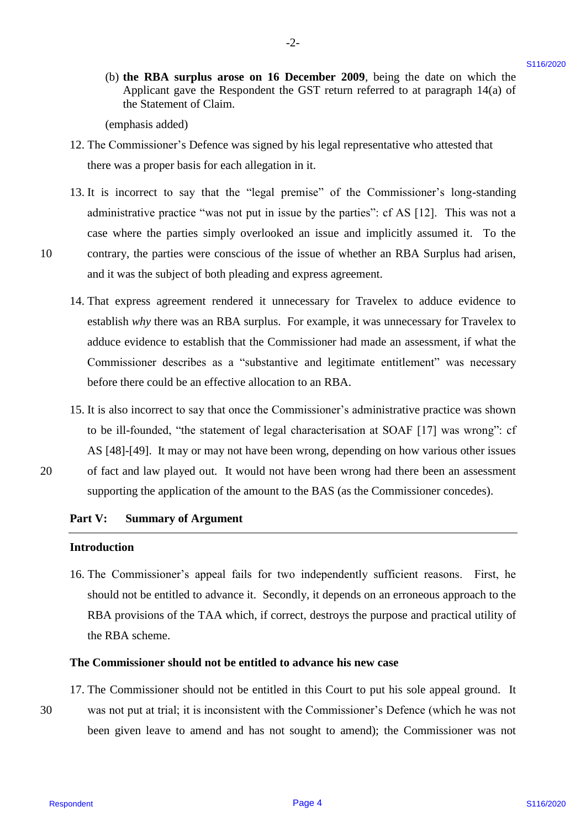(b) **the RBA surplus arose on 16 December 2009**, being the date on which the (b) the RBA surplus arose on 16 December 2009, being the date on which the Applicant gave the Respondent the GST return referred to at paragraph 14(a) of Applicant gave the Respondent the GST return referred to at paragraph 14(a) of the Statement of Claim. the Statement of Claim.

-2- -2-

(emphasis added) (emphasis added)

- 12. The Commissioner's Defence was signed by his legal representative who attested that 12. The Commissioner's Defence was signed by his legal representative who attested that there was a proper basis for each allegation in it. there was a proper basis for each allegation in it.
- 13. It is incorrect to say that the "legal premise" of the Commissioner's long-standing 13. It is incorrect to say that the "legal premise" of the Commissioner's long-standing administrative practice "was not put in issue by the parties": cf AS [12]. This was not a administrative practice "was not put in issue by the parties": cf AS [12]. This was not <sup>a</sup> case where the parties simply overlooked an issue and implicitly assumed it. To the case where the parties simply overlooked an issue and implicitly assumed it. To the 10 contrary, the parties were conscious of the issue of whether an RBA Surplus had arisen, contrary, the parties were conscious of the issue of whether an RBA Surplus had arisen, and it was the subject of both pleading and express agreement. and it was the subject of both pleading and express agreement.
- 14. That express agreement rendered it unnecessary for Travelex to adduce evidence to 14. That express agreement rendered it unnecessary for Travelex to adduce evidence to establish why there was an RBA surplus. For example, it was unnecessary for Travelex to adduce evidence to establish that the Commissioner had made an assessment, if what the adduce evidence to establish that the Commissioner had made an assessment, if what the Commissioner describes as a "substantive and legitimate entitlement" was necessary Commissioner describes as <sup>a</sup> "substantive and legitimate entitlement" was necessary before there could be an effective allocation to an RBA. before there could be an effective allocation to an RBA. 10 the RBA samples arease on 16 December 2009, boing the data on which the VRA shares are the Kausas controllation of the page 40.1 Has in the SN shares of the Commission of the Balance of the SN shares of the Bage 40. Ha
- 15. It is also incorrect to say that once the Commissioner's administrative practice was shown 15. It is also incorrect to say that once the Commissioner's administrative practice was shown to be ill-founded, "the statement of legal characterisation at SOAF [17] was wrong": cf to be ill-founded, "the statement of legal characterisation at SOAF [17] was wrong": cf AS [48]-[49]. It may or may not have been wrong, depending on how various other issues AS [48]-[49]. It may or may not have been wrong, depending on how various other issues 20 of fact and law played out. It would not have been wrong had there been an assessment
	- supporting the application of the amount to the BAS (as the Commissioner concedes). supporting the application of the amount to the BAS (as the Commissioner concedes).

#### **Part V: Summary of Argument** Part V: Summary of Argument

#### **Introduction** Introduction

16. The Commissioner's appeal fails for two independently sufficient reasons. First, he 16. The Commissioner's appeal fails for two independently sufficient reasons. First, he should not be entitled to advance it. Secondly, it depends on an erroneous approach to the should not be entitled to advance it. Secondly, it depends on an erroneous approach to the RBA provisions of the TAA which, if correct, destroys the purpose and practical utility of RBA provisions of the TAA which, if correct, destroys the purpose and practical utility of the RBA scheme. the RBA scheme.

#### **The Commissioner should not be entitled to advance his new case** The Commissioner should not be entitled to advance his new case

- 17. The Commissioner should not be entitled in this Court to put his sole appeal ground. It 17. The Commissioner should not be entitled in this Court to put his sole appeal ground. It
- 30 was not put at trial; it is inconsistent with the Commissioner's Defence (which he was not was not put at trial; it is inconsistent with the Commissioner's Defence (which he was not been given leave to amend and has not sought to amend); the Commissioner was not been given leave to amend and has not sought to amend); the Commissioner was not 30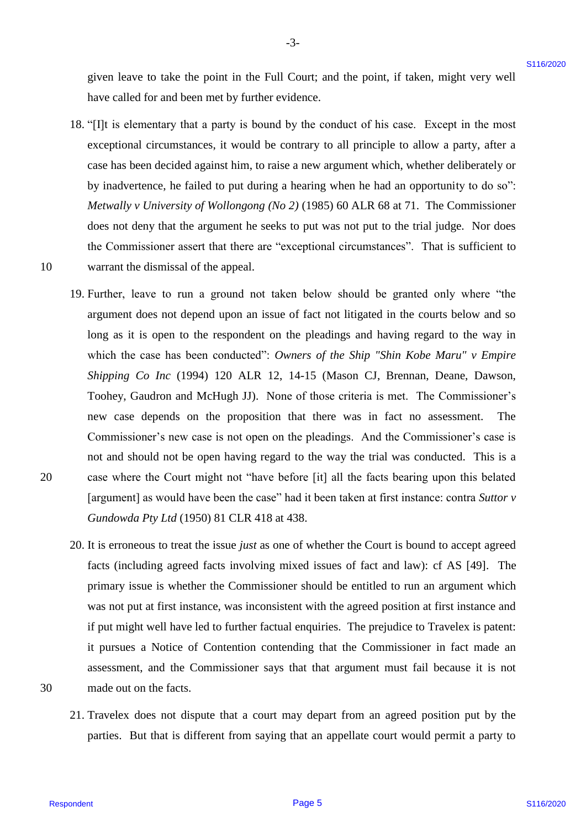given leave to take the point in the Full Court; and the point, if taken, might very well given leave to take the point in the Full Court; and the point, if taken, might very well have called for and been met by further evidence. have called for and been met by further evidence.

- 18. "[I]t is elementary that a party is bound by the conduct of his case. Except in the most 18. "{I]t is elementary that a party is bound by the conduct of his case. Except in the most exceptional circumstances, it would be contrary to all principle to allow a party, after a exceptional circumstances, it would be contrary to all principle to allowa party, after <sup>a</sup> case has been decided against him, to raise a new argument which, whether deliberately or case has been decided against him, to raise a new argument which, whether deliberately or by inadvertence, he failed to put during a hearing when he had an opportunity to do so": by inadvertence, he failed to put during <sup>a</sup> hearing when he had an opportunity to do so": *Metwally v University of Wollongong (No 2)* (1985) 60 ALR 68 at 71. The Commissioner Metwally v University of Wollongong (No 2) (1985) 60 ALR <sup>68</sup> at 71. The Commissioner does not deny that the argument he seeks to put was not put to the trial judge. Nor does does not deny that the argument he seeks to put was not put to the trial judge. Nor does the Commissioner assert that there are "exceptional circumstances". That is sufficient to the Commissioner assert that there are "exceptional circumstances". That is sufficient to 10 warrant the dismissal of the appeal. warrant the dismissal of the appeal.
- 19. Further, leave to run a ground not taken below should be granted only where "the 19. Further, leave to run <sup>a</sup> ground not taken below should be granted only where "the argument does not depend upon an issue of fact not litigated in the courts below and so argument does not depend upon an issue of fact not litigated in the courts below and so long as it is open to the respondent on the pleadings and having regard to the way in long as it is open to the respondent on the pleadings and having regard to the way in which the case has been conducted": *Owners of the Ship "Shin Kobe Maru" v Empire*  which the case has been conducted": Owners of the Ship "Shin Kobe Maru" v Empire *Shipping Co Inc* (1994) 120 ALR 12, 14-15 (Mason CJ, Brennan, Deane, Dawson, Shipping Co Inc (1994) 120 ALR 12, 14-15 (Mason CJ, Brennan, Deane, Dawson, Toohey, Gaudron and McHugh JJ). None of those criteria is met. The Commissioner's Toohey, Gaudron and McHugh JJ). None of those criteria is met. The Commissioner's new case depends on the proposition that there was in fact no assessment. The new case depends on the proposition that there was in fact no assessment. The Commissioner's new case is not open on the pleadings. And the Commissioner's case is Commissioner's new case is not open on the pleadings. And the Commissioner's case is not and should not be open having regard to the way the trial was conducted. This is a not and should not be open having regard to the way the trial was conducted. This is <sup>a</sup> 20 case where the Court might not "have before [it] all the facts bearing upon this belated case where the Court might not "have before [it] all the facts bearing upon this belated [argument] as would have been the case" had it been taken at first instance: contra *Suttor v*  [argument] as would have been the case" had it been taken at first instance: contra Suttor v *Gundowda Pty Ltd* (1950) 81 CLR 418 at 438. Gundowda Pty Ltd (1950) 81 CLR <sup>418</sup> at 438. given have to take the point in the Full Court, and the point if taken, might very well<br>have noted been meet by interlevely<br>according to all propositions. It would be contacted by the condition of<br>the second stress in the
- 20. It is erroneous to treat the issue *just* as one of whether the Court is bound to accept agreed 20. It is erroneous to treat the issuejust as one of whether the Court is bound to accept agreed facts (including agreed facts involving mixed issues of fact and law): cf AS [49]. The facts (including agreed facts involving mixed issues of fact and law): cf AS [49]. The primary issue is whether the Commissioner should be entitled to run an argument which primary issue is whether the Commissioner should be entitled to run an argument which was not put at first instance, was inconsistent with the agreed position at first instance and was not put at first instance, was inconsistent with the agreed position at first instance and if put might well have led to further factual enquiries. The prejudice to Travelex is patent: if put might well have led to further factual enquiries. The prejudice to Travelex is patent: it pursues a Notice of Contention contending that the Commissioner in fact made an assessment, and the Commissioner says that that argument must fail because it is not assessment, and the Commissioner says that that argument must fail because it is not 30 made out on the facts. made out on the facts.
- 30

20

10

21. Travelex does not dispute that a court may depart from an agreed position put by the 21. Travelex does not dispute that <sup>a</sup> court may depart from an agreed position put by the parties. But that is different from saying that an appellate court would permit a party to parties. But that is different from saying that an appellate court would permit a party to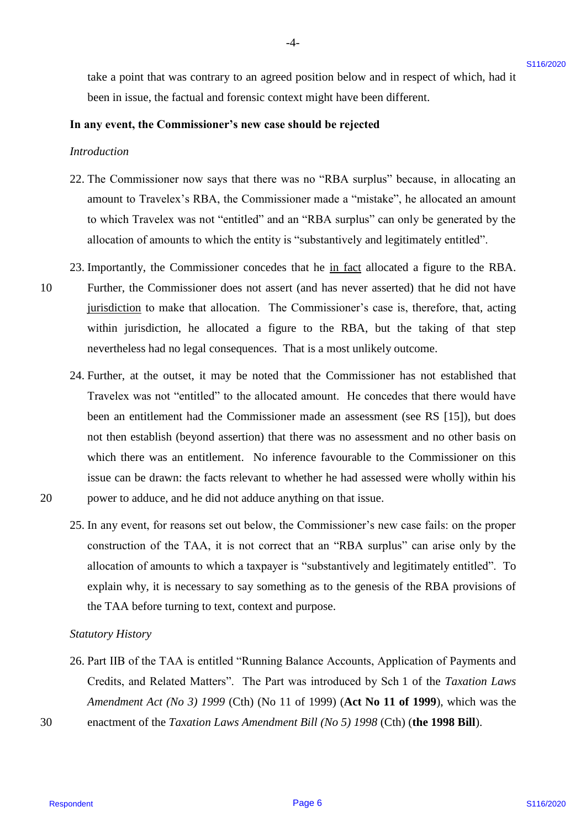take a point that was contrary to an agreed position below and in respect of which, had it take a point that was contrary to an agreed position below and in respect of which, had it been in issue, the factual and forensic context might have been different.

-4- -4-

#### **In any event, the Commissioner's new case should be rejected** In any event, the Commissioner's new case should be rejected

*Introduction* Introduction

10

20

- 22. The Commissioner now says that there was no "RBA surplus" because, in allocating an 22. The Commissioner now says that there was no "RBA surplus" because, in allocating an amount to Travelex's RBA, the Commissioner made a "mistake", he allocated an amount amount to Travelex's RBA, the Commissioner made a "mistake", he allocated an amount to which Travelex was not "entitled" and an "RBA surplus" can only be generated by the to which Travelex was not "entitled" and an "RBA surplus" can only be generated by the allocation of amounts to which the entity is "substantively and legitimately entitled". allocation of amounts to which the entity is "substantively and legitimately entitled".
- 23. Importantly, the Commissioner concedes that he in fact allocated a figure to the RBA. 10 Further, the Commissioner does not assert (and has never asserted) that he did not have Further, the Commissioner does not assert (and has never asserted) that he did not have jurisdiction to make that allocation. The Commissioner's case is, therefore, that, acting within jurisdiction, he allocated a figure to the RBA, but the taking of that step within jurisdiction, he allocated <sup>a</sup> figure to the RBA, but the taking of that step nevertheless had no legal consequences. That is a most unlikely outcome. nevertheless had no legal consequences. That is <sup>a</sup> most unlikely outcome.
- 24. Further, at the outset, it may be noted that the Commissioner has not established that 24. Further, at the outset, it may be noted that the Commissioner has not established that Travelex was not "entitled" to the allocated amount. He concedes that there would have Travelex was not "entitled" to the allocated amount. He concedes that there would have been an entitlement had the Commissioner made an assessment (see RS [15]), but does been an entitlement had the Commissioner made an assessment (see RS [15]), but does not then establish (beyond assertion) that there was no assessment and no other basis on not then establish (beyond assertion) that there was no assessment and no other basis on which there was an entitlement. No inference favourable to the Commissioner on this which there was an entitlement. No inference favourable to the Commissioner on this issue can be drawn: the facts relevant to whether he had assessed were wholly within his issue can be drawn: the facts relevant to whether he had assessed were wholly within his 20 power to adduce, and he did not adduce anything on that issue. power to adduce, and he did not adduce anything on that issue. take a point that was contary to an agreed position below and in expect of which, had in<br>the m is since the furtural and forested contest might have been different.<br>
In any event, the Commissioner's are case should be rej
	- 25. In any event, for reasons set out below, the Commissioner's new case fails: on the proper 25. In any event, for reasons set out below, the Commissioner's new case fails: on the proper construction of the TAA, it is not correct that an "RBA surplus" can arise only by the construction of the TAA, it is not correct that an "RBA surplus" can arise only by the allocation of amounts to which a taxpayer is "substantively and legitimately entitled". To allocation of amounts to which a taxpayer is "substantively and legitimately entitled". To explain why, it is necessary to say something as to the genesis of the RBA provisions of explain why, it is necessary to say something as to the genesis of the RBA provisions of the TAA before turning to text, context and purpose. the TAA before turning to text, context and purpose.

#### *Statutory History* Statutory History

- <span id="page-5-0"></span>26. Part IIB of the TAA is entitled "Running Balance Accounts, Application of Payments and 26. Part IIB of the TAA is entitled "Running Balance Accounts, Application of Payments and Credits, and Related Matters". The Part was introduced by Sch 1 of the *Taxation Laws*  Credits, and Related Matters". The Part was introduced by Sch| of the Taxation Laws *Amendment Act (No 3) 1999* (Cth) (No 11 of 1999) (**Act No 11 of 1999**), which was the Amendment Act (No 3) 1999 (Cth) (No <sup>11</sup> of 1999) (Act No 11 of 1999), which was the
- 30 enactment of the *Taxation Laws Amendment Bill (No 5) 1998* (Cth) (**the 1998 Bill**). enactment of the Taxation Laws Amendment Bill (No 5) 1998 (Cth) (the 1998 Bill). 30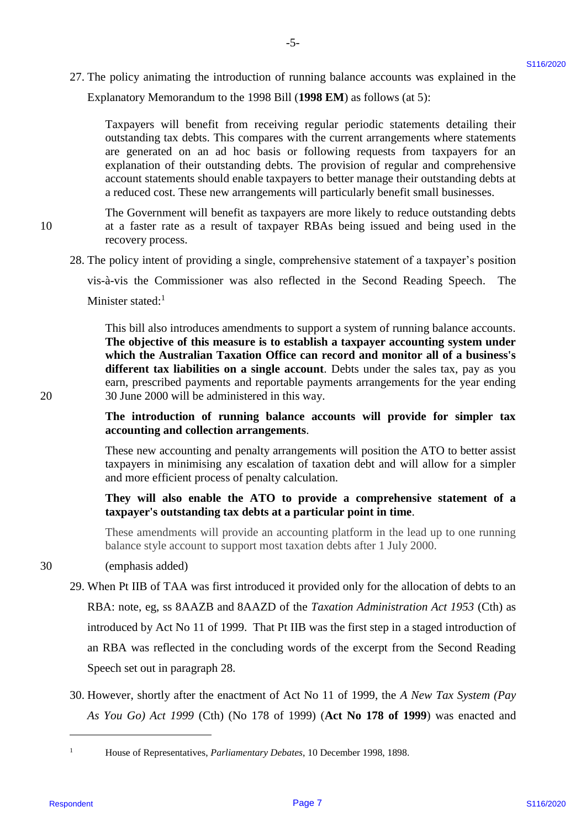27. The policy animating the introduction of running balance accounts was explained in the 27. The policy animating the introduction of running balance accounts was explained in the Explanatory Memorandum to the 1998 Bill (**1998 EM**) as follows (at 5): Explanatory Memorandum to the 1998 Bill (1998 EM) as follows (at 5):

-5- -5-

Taxpayers will benefit from receiving regular periodic statements detailing their Taxpayers will benefit from receiving regular periodic statements detailing their outstanding tax debts. This compares with the current arrangements where statements outstanding tax debts. This compares with the current arrangements where statements are generated on an ad hoc basis or following requests from taxpayers for an are generated on an ad hoc basis or following requests from taxpayers for an explanation of their outstanding debts. The provision of regular and comprehensive explanation of their outstanding debts. The provision of regular and comprehensive account statements should enable taxpayers to better manage their outstanding debts at account statements should enable taxpayers to better manage their outstanding debts at a reduced cost. These new arrangements will particularly benefit small businesses. a reduced cost. These new arrangements will particularly benefit small businesses.

The Government will benefit as taxpayers are more likely to reduce outstanding debts The Government will benefit as taxpayers are more likely to reduce outstanding debts 10 at a faster rate as a result of taxpayer RBAs being issued and being used in the 10at <sup>a</sup> faster rate as <sup>a</sup> result of taxpayer RBAs being issued and being used in the recovery process. recovery process.

<span id="page-6-0"></span>28. The policy intent of providing a single, comprehensive statement of a taxpayer's position 28. The policy intent of providing <sup>a</sup> single, comprehensive statement of <sup>a</sup> taxpayer's position

vis-à-vis the Commissioner was also reflected in the Second Reading Speech. The vis-a-vis the Commissioner was also reflected in the Second Reading Speech. The Minister stated:<sup>1</sup>

This bill also introduces amendments to support a system of running balance accounts. This bill also introduces amendments to support a system of running balance accounts. **The objective of this measure is to establish a taxpayer accounting system under**  The objective of this measure is to establish a taxpayer accounting system under **which the Australian Taxation Office can record and monitor all of a business's**  which the Australian Taxation Office can record and monitor all of a business's **different tax liabilities on a single account**. Debts under the sales tax, pay as you different tax liabilities on a single account. Debts under the sales tax, pay as you earn, prescribed payments and reportable payments arrangements for the year ending 20 30 June 2000 will be administered in this way. 20 30 June 2000 will be administered in this way.

# **The introduction of running balance accounts will provide for simpler tax**  The introduction of running balance accounts will provide for simpler tax **accounting and collection arrangements**. accounting and collection arrangements.

These new accounting and penalty arrangements will position the ATO to better assist These new accounting and penalty arrangements will position the ATO to better assist taxpayers in minimising any escalation of taxation debt and will allow for a simpler taxpayers in minimising any escalation of taxation debt and will allow for <sup>a</sup> simpler and more efficient process of penalty calculation. and more efficient process of penalty calculation.

# **They will also enable the ATO to provide a comprehensive statement of a**  They will also enable the ATO to provide a comprehensive statement of a **taxpayer's outstanding tax debts at a particular point in time**. taxpayer's outstanding tax debts at a particular point in time.

These amendments will provide an accounting platform in the lead up to one running These amendments will provide an accounting platform in the lead up to one running balance style account to support most taxation debts after 1 July 2000. balance style account to support most taxation debts after <sup>1</sup> July 2000.

#### 30 (emphasis added) 30 (emphasis added)

- 29. When Pt IIB of TAA was first introduced it provided only for the allocation of debts to an 29. When Pt IIB of TAA was first introduced it provided only for the allocation of debts to an RBA: note, eg, ss 8AAZB and 8AAZD of the *Taxation Administration Act 1953* (Cth) as introduced by Act No 11 of 1999. That Pt IIB was the first step in a staged introduction of introduced by Act No <sup>11</sup> of 1999. That Pt IIB was the first step in <sup>a</sup> staged introduction of an RBA was reflected in the concluding words of the excerpt from the Second Reading an RBA was reflected in the concluding words of the excerpt from the Second Reading Speech set out in paragraph [28.](#page-6-0) Speech set out in paragraph28. 27. The policy suincaing the interdection of running balance accounts was explained in the latter strengthen to the 1980 HII (1998 KB), a right point in the space of the strength strength and the strength strength strengt
	- 30. However, shortly after the enactment of Act No 11 of 1999, the *A New Tax System (Pay*  30. However, shortly after the enactment of Act No <sup>11</sup> of 1999, the A New Tax System (Pay *As You Go) Act 1999* (Cth) (No 178 of 1999) (**Act No 178 of 1999**) was enacted and As You Go) Act 1999 (Cth) (No 178 of 1999) (Act No 178 of 1999) was enacted and

 $\overline{a}$ 

<sup>&</sup>lt;sup>1</sup> House of Representatives, *Parliamentary Debates*, 10 December 1998, 1898.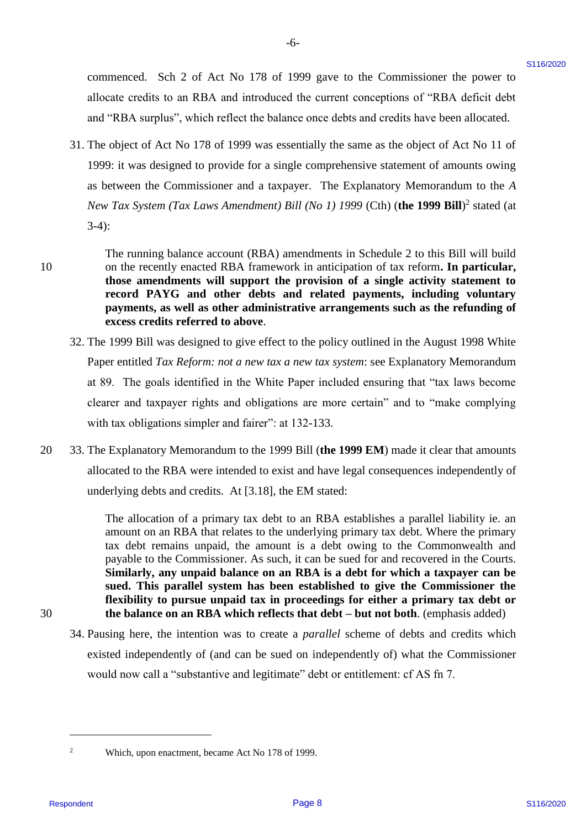commenced. Sch 2 of Act No 178 of 1999 gave to the Commissioner the power to commenced. Sch 2 of Act No 178 of 1999 gave to the Commissioner the power to allocate credits to an RBA and introduced the current conceptions of "RBA deficit debt allocate credits to an RBA and introduced the current conceptions of "RBA deficit debt and "RBA surplus", which reflect the balance once debts and credits have been allocated. and "RBA surplus", which reflect the balance once debts and credits have been allocated.

-6- -6-

31. The object of Act No 178 of 1999 was essentially the same as the object of Act No 11 of 31. The object of Act No 178 of 1999 was essentially the same as the object of Act No <sup>11</sup> of 1999: it was designed to provide for a single comprehensive statement of amounts owing 1999: it was designed to provide for <sup>a</sup> single comprehensive statement of amounts owing as between the Commissioner and a taxpayer. The Explanatory Memorandum to the *A*  as between the Commissioner and a taxpayer. The Explanatory Memorandum to the A *New Tax System (Tax Laws Amendment) Bill (No 1) 1999* (Cth) (the 1999 Bill)<sup>2</sup> stated (at 3-4): 3-4):

10

The running balance account (RBA) amendments in Schedule 2 to this Bill will build The running balance account (RBA) amendments in Schedule 2 to this Bill will build 10 on the recently enacted RBA framework in anticipation of tax reform**. In particular,**  on the recently enacted RBA framework in anticipation of tax reform. In particular, **those amendments will support the provision of a single activity statement to**  those amendments will support the provision of a single activity statement to **record PAYG and other debts and related payments, including voluntary**  record PAYG and other debts and related payments, including voluntary **payments, as well as other administrative arrangements such as the refunding of**  payments, as well as other administrative arrangements such as the refunding of **excess credits referred to above**. excess credits referred to above.

- 32. The 1999 Bill was designed to give effect to the policy outlined in the August 1998 White 32. The 1999 Bill was designed to give effect to the policy outlined in the August 1998 White Paper entitled *Tax Reform: not a new tax a new tax system*: see Explanatory Memorandum Paper entitled Tax Reform: not a new tax a new tax system: see Explanatory Memorandum at 89. The goals identified in the White Paper included ensuring that "tax laws become at 89. The goals identified in the White Paper included ensuring that "tax laws become clearer and taxpayer rights and obligations are more certain" and to "make complying clearer and taxpayer rights and obligations are more certain" and to "make complying with tax obligations simpler and fairer": at 132-133. with tax obligations simpler and fairer": at 132-133.
- 20 33. The Explanatory Memorandum to the 1999 Bill (**the 1999 EM**) made it clear that amounts 33. The Explanatory Memorandum to the 1999 Bill (the 1999 EM) made it clear that amounts allocated to the RBA were intended to exist and have legal consequences independently of allocated to the RBA were intended to exist and have legal consequences independently of underlying debts and credits. At [3.18], the EM stated: underlying debts and credits. At [3.18], the EM stated: 20

The allocation of a primary tax debt to an RBA establishes a parallel liability ie. an The allocation of <sup>a</sup> primary tax debt to an RBA establishesa parallel liability ie. an amount on an RBA that relates to the underlying primary tax debt. Where the primary amount on an RBA that relates to the underlying primary tax debt. Where the primary tax debt remains unpaid, the amount is a debt owing to the Commonwealth and tax debt remains unpaid, the amount is a debt owing to the Commonwealth and payable to the Commissioner. As such, it can be sued for and recovered in the Courts. payable to the Commissioner. As such, it can be suedfor and recovered in the Courts. **Similarly, any unpaid balance on an RBA is a debt for which a taxpayer can be**  Similarly, any unpaid balance on an RBA is a debt for which a taxpayer can be **sued. This parallel system has been established to give the Commissioner the**  sued. This parallel system has been established to give the Commissioner the **flexibility to pursue unpaid tax in proceedings for either a primary tax debt or**  flexibility to pursue unpaid tax in proceedings for either a primary tax debt or 30 **the balance on an RBA which reflects that debt – but not both**. (emphasis added) the balance on an RBA which reflects that debt — but not both. (emphasis added) commenced. Sch 2 of Act No 178 of 1999 gave to the Commissionar the power to<br>al-local and entire the local control and the control control and the control of  $20\%$  Page 8 and 1020 Page 8 and the state of the state of the

30

34. Pausing here, the intention was to create a *parallel* scheme of debts and credits which 34. Pausing here, the intention was to create <sup>a</sup> parallel scheme of debts and credits which existed independently of (and can be sued on independently of) what the Commissioner existed independently of (and can be sued on independently of) what the Commissioner would now call a "substantive and legitimate" debt or entitlement: cf AS fn 7. would now call a "substantive and legitimate" debt or entitlement: cf AS fn 7.

 $\overline{a}$ 

<sup>2</sup> Which, upon enactment, became Act No 178 of 1999. Which, upon enactment, became Act No 178 of 1999.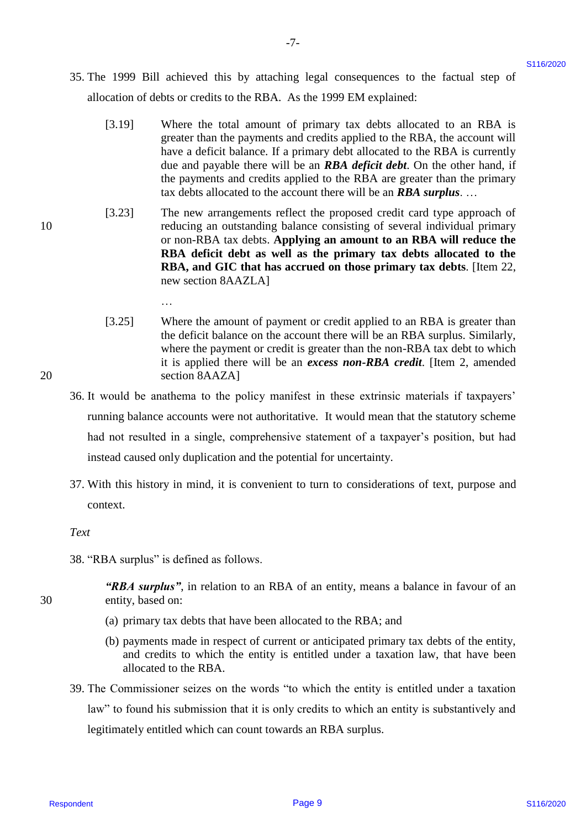35. The 1999 Bill achieved this by attaching legal consequences to the factual step of 35. The 1999 Bill achieved this by attaching legal consequences to the factual step of allocation of debts or credits to the RBA. As the 1999 EM explained: allocation of debts or credits to the RBA. As the 1999 EM explained:

-7- -7-

- [3.19] Where the total amount of primary tax debts allocated to an RBA is Where the total amount of primary tax debts allocated to an RBA is greater than the payments and credits applied to the RBA, the account will greater than the payments and credits applied to the RBA, the account will have a deficit balance. If a primary debt allocated to the RBA is currently have <sup>a</sup> deficit balance. If <sup>a</sup> primary debt allocated to the RBA is currently due and payable there will be an *RBA deficit debt*. On the other hand, if the payments and credits applied to the RBA are greater than the primary the payments and credits applied to the RBA are greater than the primary tax debts allocated to the account there will be an *RBA surplus*. … tax debts allocated to the account there will be an RBA surplus. ... [3.19]
- [3.23] The new arrangements reflect the proposed credit card type approach of 10 reducing an outstanding balance consisting of several individual primary reducing an outstanding balance consisting of several individual primary or non-RBA tax debts. **Applying an amount to an RBA will reduce the**  or non-RBA tax debts. Applying an amount to an RBA will reduce the **RBA deficit debt as well as the primary tax debts allocated to the**  RBA deficit debt as well as the primary tax debts allocated to the **RBA, and GIC that has accrued on those primary tax debts**. [Item 22, RBA, and GIC that has accrued on those primary tax debts. [Item 22, new section 8AAZLA] new section 8AAZLA] S5. The 1999 Bill achieved this by attaching legal coasepasses to the factual atop of<br>
shockers of respondent the RHA. As the 1989 bill service is the state of the state of the RHA is given the notice term of the RHA is g [3.23]
- [3.25] Where the amount of payment or credit applied to an RBA is greater than Where the amount of payment or credit applied to an RBA is greater than the deficit balance on the account there will be an RBA surplus. Similarly, the deficit balance on the account there will be an RBA surplus. Similarly, where the payment or credit is greater than the non-RBA tax debt to which where the payment or credit is greater than the non-RBA tax debt to which it is applied there will be an *excess non-RBA credit*. [Item 2, amended 20 section 8AAZA] section 8AAZA] [3.25]
	- 36. It would be anathema to the policy manifest in these extrinsic materials if taxpayers' 36. It would be anathema to the policy manifest in these extrinsic materials if taxpayers' running balance accounts were not authoritative. It would mean that the statutory scheme running balance accounts were not authoritative. It would mean that the statutory scheme had not resulted in a single, comprehensive statement of a taxpayer's position, but had had not resulted in <sup>a</sup> single, comprehensive statement of a taxpayer's position, but had instead caused only duplication and the potential for uncertainty. instead caused only duplication and the potential for uncertainty.
	- 37. With this history in mind, it is convenient to turn to considerations of text, purpose and 37. With this history in mind, it is convenient to turn to considerations of text, purpose and context. context.

<span id="page-8-0"></span>*Text* Text

38. "RBA surplus" is defined as follows. 38. "RBA surplus" is defined as follows.

…

- "RBA surplus", in relation to an RBA of an entity, means a balance in favour of an 30 entity, based on: entity, based on:
	- (a) primary tax debts that have been allocated to the RBA; and (a) primary tax debts that have been allocated to the RBA; and
	- (b) payments made in respect of current or anticipated primary tax debts of the entity, (b) payments made in respect of current or anticipated primary tax debts of the entity, and credits to which the entity is entitled under a taxation law, that have been and credits to which the entity is entitled under <sup>a</sup> taxation law, that have been allocated to the RBA. allocated to the RBA.
	- 39. The Commissioner seizes on the words "to which the entity is entitled under a taxation 39. The Commissioner seizes on the words "to which the entity is entitled under <sup>a</sup> taxation law" to found his submission that it is only credits to which an entity is substantively and law" to found his submission that it is only credits to which an entity is substantively and legitimately entitled which can count towards an RBA surplus. legitimately entitled which can count towards an RBA surplus.

10

20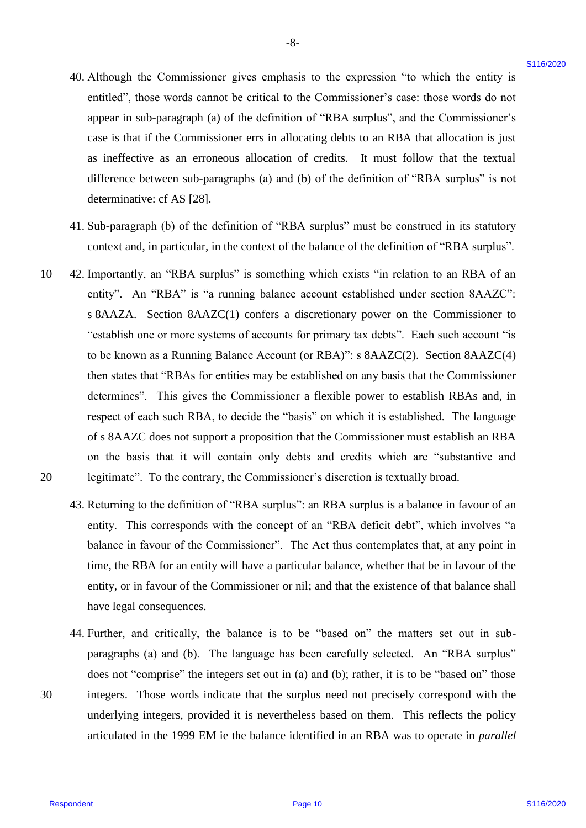- 40. Although the Commissioner gives emphasis to the expression "to which the entity is 40. Although the Commissioner gives emphasis to the expression "to which the entity is entitled", those words cannot be critical to the Commissioner's case: those words do not appear in sub-paragraph (a) of the definition of "RBA surplus", and the Commissioner's appear in sub-paragraph (a) of the definition of "RBA surplus", and the Commissioner's case is that if the Commissioner errs in allocating debts to an RBA that allocation is just case is that if the Commissioner errs in allocating debts to an RBA that allocation is just as ineffective as an erroneous allocation of credits. It must follow that the textual as ineffective as an erroneous allocation of credits. It must follow that the textual difference between sub-paragraphs (a) and (b) of the definition of "RBA surplus" is not difference between sub-paragraphs (a) and (b) of the definition of "RBA surplus" is not determinative: cf AS [28]. determinative: cf AS [28].
- 41. Sub-paragraph (b) of the definition of "RBA surplus" must be construed in its statutory 41. Sub-paragraph (b) of the definition of "RBA surplus" must be construed in its statutory context and, in particular, in the context of the balance of the definition of "RBA surplus". context and, in particular, in the context of the balance of the definition of"RBA surplus".
- 10 42. Importantly, an "RBA surplus" is something which exists "in relation to an RBA of an 42. Importantly, an "RBA surplus" is something which exists "in relation to an RBA of an entity". An "RBA" is "a running balance account established under section 8AAZC": s 8AAZA. Section 8AAZC(1) confers a discretionary power on the Commissioner to "establish one or more systems of accounts for primary tax debts". Each such account "is "establish one or more systems of accounts for primary tax debts". Each such account "is to be known as a Running Balance Account (or RBA)": s 8AAZC(2). Section 8AAZC(4) to be known as <sup>a</sup> Running Balance Account (or RBA)": <sup>s</sup> 8AAZC(2). Section 8AAZC(4) then states that "RBAs for entities may be established on any basis that the Commissioner then states that "RBAs for entities may be established on any basis that the Commissioner determines". This gives the Commissioner a flexible power to establish RBAs and, in determines". This gives the Commissioner <sup>a</sup> flexible power to establish RBAs and, in respect of each such RBA, to decide the "basis" on which it is established. The language respect of each such RBA, to decide the "basis" on which it is established. The language of s 8AAZC does not support a proposition that the Commissioner must establish an RBA on the basis that it will contain only debts and credits which are "substantive and 20 legitimate". To the contrary, the Commissioner's discretion is textually broad. legitimate". To the contrary, the Commissioner's discretion is textually broad. 10. Although the Commissioner gives emphasis to the expression "to which the entity is<br>erricle," these worst-carrelate in the cellematic particle in the Commissioner's carrelate and the commissioner's<br>appear in anti-parag 10 20
	- 43. Returning to the definition of "RBA surplus": an RBA surplus is a balance in favour of an 43. Returning to the definition of"RBA surplus": an RBA surplus is a balance in favour of an entity. This corresponds with the concept of an "RBA deficit debt", which involves "a balance in favour of the Commissioner". The Act thus contemplates that, at any point in balance in favour of the Commissioner'. The Act thus contemplates that, at any point in time, the RBA for an entity will have a particular balance, whether that be in favour of the time, the RBA for an entity will have <sup>a</sup> particular balance, whether that be in favour of the entity, or in favour of the Commissioner or nil; and that the existence of that balance shall have legal consequences. have legal consequences.
- 44. Further, and critically, the balance is to be "based on" the matters set out in sub-44, Further, and critically, the balance is to be "based on" the matters set out in subparagraphs (a) and (b). The language has been carefully selected. An "RBA surplus" paragraphs (a) and (b). The language has been carefully selected. An "RBA surplus" does not "comprise" the integers set out in (a) and (b); rather, it is to be "based on" those 30 integers. Those words indicate that the surplus need not precisely correspond with the integers. Those words indicate that the surplus need not precisely correspond with the underlying integers, provided it is nevertheless based on them. This reflects the policy underlying integers, provided it is nevertheless based on them. This reflects the policy articulated in the 1999 EM ie the balance identified in an RBA was to operate in *parallel*  articulated in the 1999 EM ie the balance identified in an RBA was to operate in parallel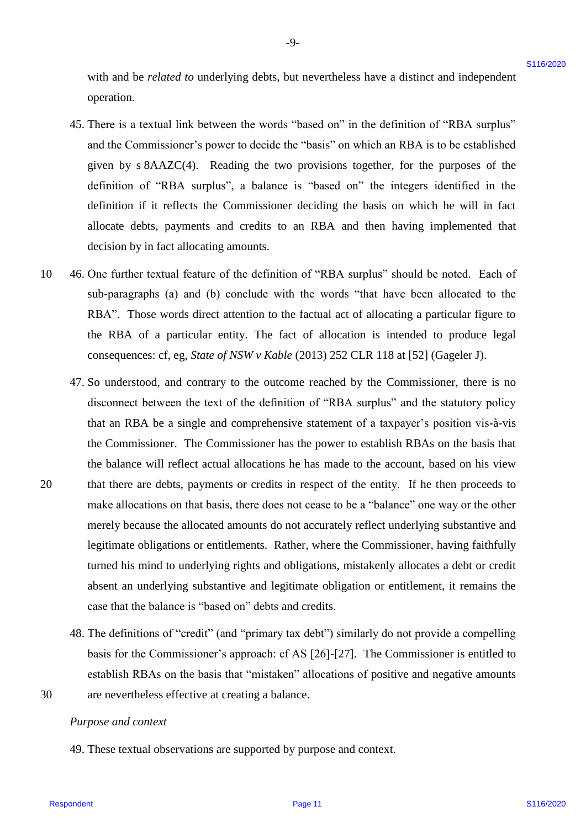with and be *related to* underlying debts, but nevertheless have a distinct and independent with and be related to underlying debts, but nevertheless have a distinct and independent operation. operation.

-9- -9-

- 45. There is a textual link between the words "based on" in the definition of "RBA surplus" 45. There is <sup>a</sup> textual link between the words "based on" in the definition of "RBA surplus" and the Commissioner's power to decide the "basis" on which an RBA is to be established and the Commissioner's power to decide the "basis" on which an RBA is to be established given by s 8AAZC(4). Reading the two provisions together, for the purposes of the given by <sup>s</sup> 8AAZC(4). Reading the two provisions together, for the purposes of the definition of "RBA surplus", a balance is "based on" the integers identified in the definition of "RBA surplus", <sup>a</sup> balance is "based on" the integers identified in the definition if it reflects the Commissioner deciding the basis on which he will in fact definition if it reflects the Commissioner deciding the basis on which he will in fact allocate debts, payments and credits to an RBA and then having implemented that allocate debts, payments and credits to an RBA and then having implemented that decision by in fact allocating amounts. decision by in fact allocating amounts.
- 10 46. One further textual feature of the definition of "RBA surplus" should be noted. Each of 46. One further textual feature of the definition of "RBA surplus" should be noted. Each of sub-paragraphs (a) and (b) conclude with the words "that have been allocated to the sub-paragraphs (a) and (b) conclude with the words "that have been allocated to the RBA". Those words direct attention to the factual act of allocating a particular figure to RBA". Those words direct attention to the factual act of allocating <sup>a</sup> particular figure to the RBA of a particular entity. The fact of allocation is intended to produce legal the RBA of <sup>a</sup> particular entity. The fact of allocation is intended to produce legal consequences: cf, eg, *State of NSW v Kable* (2013) 252 CLR 118 at [52] (Gageler J). consequences: cf, eg, State of NSW <sup>v</sup> Kable (2013) <sup>252</sup> CLR <sup>118</sup> at [52] (Gageler J). 10
- 47. So understood, and contrary to the outcome reached by the Commissioner, there is no 47. So understood, and contrary to the outcome reached by the Commissioner, there is no disconnect between the text of the definition of "RBA surplus" and the statutory policy disconnect between the text of the definition of "RBA surplus" and the statutory policy that an RBA be a single and comprehensive statement of a taxpayer's position vis-à-vis that an RBA be a single and comprehensive statement of a taxpayer's position vis-a-vis the Commissioner. The Commissioner has the power to establish RBAs on the basis that the Commissioner. The Commissioner has the power to establish RBAs on the basis that the balance will reflect actual allocations he has made to the account, based on his view the balance will reflect actual allocations he has made to the account, based on his view 20 that there are debts, payments or credits in respect of the entity. If he then proceeds to make allocations on that basis, there does not cease to be a "balance" one way or the other make allocations on that basis, there does not cease to be <sup>a</sup> "balance" one way or the other merely because the allocated amounts do not accurately reflect underlying substantive and merely because the allocated amounts do not accurately reflect underlying substantive and legitimate obligations or entitlements. Rather, where the Commissioner, having faithfully legitimate obligations or entitlements. Rather, where the Commissioner, having faithfully turned his mind to underlying rights and obligations, mistakenly allocates a debt or credit turned his mind to underlying rights and obligations, mistakenly allocates <sup>a</sup> debt or credit absent an underlying substantive and legitimate obligation or entitlement, it remains the absent an underlying substantive and legitimate obligation or entitlement, it remains the case that the balance is "based on" debts and credits. case that the balance is "based on" debts and credits. with and be *related to* underlying debts, but are related is then a division for expectation of "stick or the station of "stick or the station of "stick or the station of "stick or the station of "stick or the station of
- 48. The definitions of "credit" (and "primary tax debt") similarly do not provide a compelling 48. The definitions of "credit" (and "primary tax debt'') similarly do not provide a compelling basis for the Commissioner's approach: cf AS [26]-[27]. The Commissioner is entitled to basis for the Commissioner's approach: cf AS [26]-[27]. The Commissioner is entitled to establish RBAs on the basis that "mistaken" allocations of positive and negative amounts establish RBAs on the basis that "mistaken" allocations of positive and negative amounts 30 are nevertheless effective at creating a balance. are nevertheless effective at creating a balance.
- 30

20

#### *Purpose and context* Purpose and context

49. These textual observations are supported by purpose and context. 49. These textual observations are supported by purpose and context.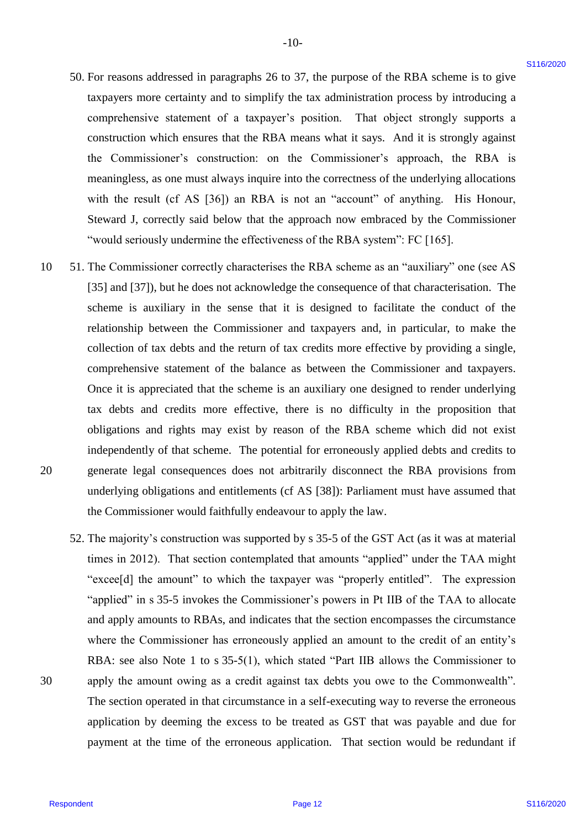50. For reasons addressed in paragraphs [26](#page-5-0) to [37,](#page-8-0) the purpose of the RBA scheme is to give 50. For reasons addressed in paragraphs 26 to 37, the purpose of the RBA scheme is to give taxpayers more certainty and to simplify the tax administration process by introducing a taxpayers more certainty and to simplify the tax administration process by introducing a comprehensive statement of a taxpayer's position. That object strongly supports a comprehensive statement of <sup>a</sup> taxpayer's position. That object strongly supports <sup>a</sup> construction which ensures that the RBA means what it says. And it is strongly against construction which ensures that the RBA means what it says. And it is strongly against the Commissioner's construction: on the Commissioner's approach, the RBA is the Commissioner's construction: on the Commissioner's approach, the RBA is meaningless, as one must always inquire into the correctness of the underlying allocations meaningless, as one must always inquire into the correctness of the underlying allocations with the result (cf AS [36]) an RBA is not an "account" of anything. His Honour, with the result (cf AS [36]) an RBA is not an "account" of anything. His Honour, Steward J, correctly said below that the approach now embraced by the Commissioner Steward J, correctly said below that the approach now embraced by the Commissioner "would seriously undermine the effectiveness of the RBA system": FC [165]. "would seriously undermine the effectiveness of the RBA system": FC [165].

-10- -10-

- 10 51. The Commissioner correctly characterises the RBA scheme as an "auxiliary" one (see AS 51. The Commissioner correctly characterises the RBA scheme as an "auxiliary" one (see AS [35] and [37]), but he does not acknowledge the consequence of that characterisation. The [35] and [37]), but he does not acknowledge the consequence of that characterisation. The scheme is auxiliary in the sense that it is designed to facilitate the conduct of the scheme is auxiliary in the sense that it is designed to facilitate the conduct of the relationship between the Commissioner and taxpayers and, in particular, to make the collection of tax debts and the return of tax credits more effective by providing a single, collection of tax debts and the return of tax credits more effective by providing <sup>a</sup> single, comprehensive statement of the balance as between the Commissioner and taxpayers. comprehensive statement of the balance as between the Commissioner and taxpayers. Once it is appreciated that the scheme is an auxiliary one designed to render underlying Once it is appreciated that the scheme is an auxiliary one designed to render underlying tax debts and credits more effective, there is no difficulty in the proposition that tax debts and credits more effective, there is no difficulty in the proposition that obligations and rights may exist by reason of the RBA scheme which did not exist obligations and rights may exist by reason of the RBA scheme which did not exist independently of that scheme. The potential for erroneously applied debts and credits to independently of that scheme. The potential for erroneously applied debts and credits to 20 generate legal consequences does not arbitrarily disconnect the RBA provisions from generate legal consequences does not arbitrarily disconnect the RBA provisions from underlying obligations and entitlements (cf AS [38]): Parliament must have assumed that underlying obligations and entitlements (cf AS [38]): Parliament must have assumed that the Commissioner would faithfully endeavour to apply the law. the Commissioner would faithfully endeavour to apply the law. S0. For reasons addexesed in paragraphs 26 to 37, the purpose of the RBA scheme is to give<br>numeron centerioning and to simplify the un, administration presence by invistancing and<br>compressions: exactions of a mappay's pos 10 20
- 52. The majority's construction was supported by s 35-5 of the GST Act (as it was at material 52. The majority's construction was supported by <sup>s</sup> 35-5 of the GST Act (as it was at material times in 2012). That section contemplated that amounts "applied" under the TAA might times in 2012). That section contemplated that amounts "applied" under the TAA might "excee[d] the amount" to which the taxpayer was "properly entitled". The expression "excee[d] the amount" to which the taxpayer was "properly entitled". The expression "applied" in s 35-5 invokes the Commissioner's powers in Pt IIB of the TAA to allocate "applied" in <sup>s</sup> 35-5 invokes the Commissioner's powers in Pt IIB of the TAA to allocate and apply amounts to RBAs, and indicates that the section encompasses the circumstance and apply amounts to RBAs, and indicates that the section encompasses the circumstance where the Commissioner has erroneously applied an amount to the credit of an entity's where the Commissioner has erroneously applied an amount to the credit of an entity's RBA: see also Note 1 to s 35-5(1), which stated "Part IIB allows the Commissioner to RBA: see also Note 1 to <sup>s</sup> 35-5(1), which stated "Part IIB allows the Commissioner to 30 apply the amount owing as a credit against tax debts you owe to the Commonwealth". apply the amount owing as <sup>a</sup> credit against tax debts you owe to the Commonwealth". The section operated in that circumstance in a self-executing way to reverse the erroneous The section operated in that circumstance in a self-executing way to reverse the erroneous application by deeming the excess to be treated as GST that was payable and due for application by deeming the excess to be treated as GST that was payable and due for payment at the time of the erroneous application. That section would be redundant if payment at the time of the erroneous application. That section would be redundant if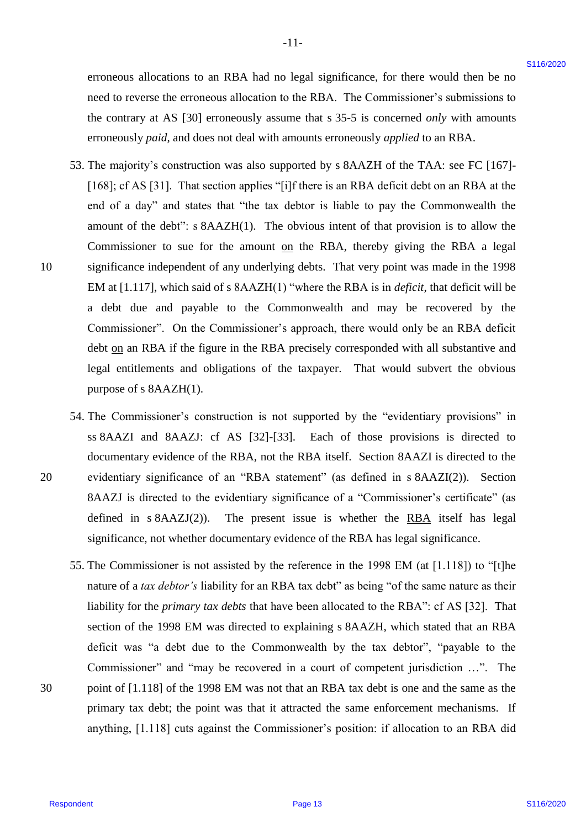erroneous allocations to an RBA had no legal significance, for there would then be no erroneous allocations to an RBA had no legal significance, for there would then be no need to reverse the erroneous allocation to the RBA. The Commissioner's submissions to need to reverse the erroneous allocation to the RBA. The Commissioner's submissions to the contrary at AS [30] erroneously assume that s 35-5 is concerned *only* with amounts the contrary at AS [30] erroneously assume that <sup>s</sup> 35-5 is concerned only with amounts erroneously *paid*, and does not deal with amounts erroneously *applied* to an RBA. erroneously paid, and does not deal with amounts erroneously appliedto an RBA.

-11- -l1-

- 53. The majority's construction was also supported by s 8AAZH of the TAA: see FC [167]- 53. The majority's construction was also supported by <sup>s</sup> 8AAZH of the TAA: see FC [167]- [168]; cf AS [31]. That section applies "[i]f there is an RBA deficit debt on an RBA at the end of a day" and states that "the tax debtor is liable to pay the Commonwealth the amount of the debt": s 8AAZH(1). The obvious intent of that provision is to allow the amount of the debt": <sup>s</sup> 8AAZH(1). The obvious intent of that provision is to allow the Commissioner to sue for the amount on the RBA, thereby giving the RBA a legal 10 significance independent of any underlying debts. That very point was made in the 1998 significance independent of any underlying debts. That very point was made in the 1998 EM at [1.117], which said of s 8AAZH(1) "where the RBA is in *deficit*, that deficit will be EM at [1.117], which said of <sup>s</sup> 8AAZH(1) "where the RBA is in deficit, that deficit will be a debt due and payable to the Commonwealth and may be recovered by the a debt due and payable to the Commonwealth and may be recovered by the Commissioner". On the Commissioner's approach, there would only be an RBA deficit Commissioner". On the Commissioner's approach, there would only be an RBA deficit debt on an RBA if the figure in the RBA precisely corresponded with all substantive and legal entitlements and obligations of the taxpayer. That would subvert the obvious legal entitlements and obligations of the taxpayer. That would subvert the obvious purpose of s 8AAZH(1). erroneous allocations to an RBA had no legal significance. for there wends thus be not<br>need to everywe the streaments allotted time. The Commutester's unbetted<br>out the context of the streament streaments in the RIA.<br>
SN-T
- 54. The Commissioner's construction is not supported by the "evidentiary provisions" in 54. The Commissioner's construction is not supported by the "evidentiary provisions" in ss 8AAZI and 8AAZJ: cf AS [32]-[33]. Each of those provisions is directed to documentary evidence of the RBA, not the RBA itself. Section 8AAZI is directed to the documentary evidence of the RBA, not the RBA itself. Section 8AAZI is directed to the 20 evidentiary significance of an "RBA statement" (as defined in s 8AAZI(2)). Section evidentiary significance of an "RBA statement" (as defined in <sup>s</sup> 8AAZI(2)). Section 8AAZJ is directed to the evidentiary significance of a "Commissioner's certificate" (as 8AAZJ is directed to the evidentiary significance of <sup>a</sup> "Commissioner's certificate" (as defined in  $s$  8AAZJ(2)). The present issue is whether the RBA itself has legal significance, not whether documentary evidence of the RBA has legal significance. significance, not whether documentary evidence of the RBA has legal significance.
- 55. The Commissioner is not assisted by the reference in the 1998 EM (at [1.118]) to "[t]he 55. The Commissioner is not assisted by the reference in the 1998 EM (at [1.118]) to "[t]he nature of a *tax debtor's* liability for an RBA tax debt" as being "of the same nature as their nature of <sup>a</sup> tax debtor's liability for an RBA tax debt" as being "of the same nature as their liability for the *primary tax debts* that have been allocated to the RBA": cf AS [32]. That liability for the primary tax debts that have been allocated to the RBA": cf AS [32]. That section of the 1998 EM was directed to explaining s 8AAZH, which stated that an RBA section of the 1998 EM was directed to explaining <sup>s</sup> 8AAZH, which stated that an RBA deficit was "a debt due to the Commonwealth by the tax debtor", "payable to the deficit was "a debt due to the Commonwealth by the tax debtor', "payable to the Commissioner" and "may be recovered in a court of competent jurisdiction …". The Commissioner" and "may be recovered in <sup>a</sup> court of competent jurisdiction ...". The 30 point of [1.118] of the 1998 EM was not that an RBA tax debt is one and the same as the point of [1.118] of the 1998 EM was not that an RBA tax debt is one and the same as the primary tax debt; the point was that it attracted the same enforcement mechanisms. If primary tax debt; the point was that it attracted the same enforcement mechanisms. If anything, [1.118] cuts against the Commissioner's position: if allocation to an RBA did anything, [1.118] cuts against the Commissioner's position: if allocation to an RBA did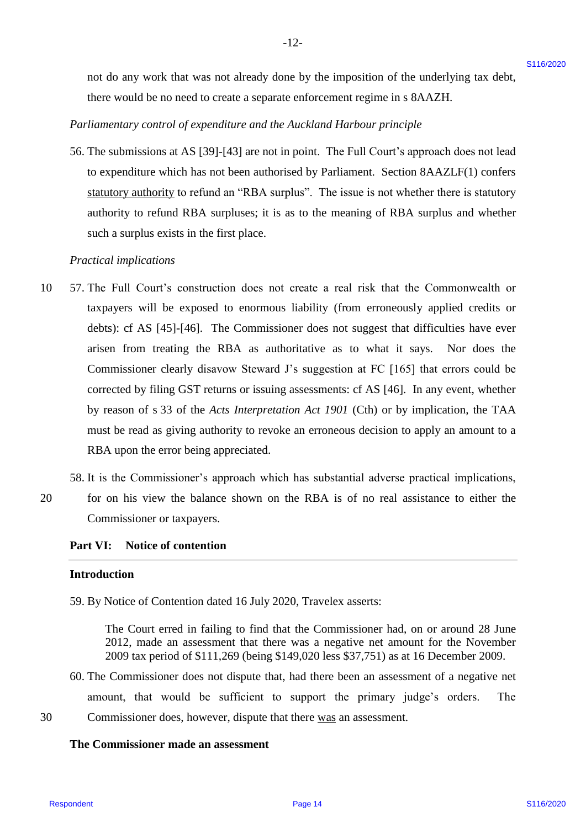not do any work that was not already done by the imposition of the underlying tax debt, not do any work that was not already done by the imposition of the underlying tax debt, there would be no need to create a separate enforcement regime in s 8AAZH. there would be no need to create <sup>a</sup> separate enforcement regime in <sup>s</sup> 8AAZH.

-12- -12-

# *Parliamentary control of expenditure and the Auckland Harbour principle* Parliamentary control of expenditure and the Auckland Harbour principle

56. The submissions at AS [39]-[43] are not in point. The Full Court's approach does not lead 56. The submissions at AS [39]-[43] are not in point. The Full Court's approach does not lead to expenditure which has not been authorised by Parliament. Section 8AAZLF(1) confers to expenditure which has not been authorised by Parliament. Section 8AAZLF(1) confers statutory authority to refund an "RBA surplus". The issue is not whether there is statutory statutory authority to refund an "RBA surplus". The issue is not whether there is statutory authority to refund RBA surpluses; it is as to the meaning of RBA surplus and whether authority to refund RBA surpluses; it is as to the meaning of RBA surplus and whether such a surplus exists in the first place. such <sup>a</sup> surplus exists in the first place.

#### *Practical implications* Practical implications

- 10 57. The Full Court's construction does not create a real risk that the Commonwealth or 57. The Full Court's construction does not create <sup>a</sup> real risk that the Commonwealth or taxpayers will be exposed to enormous liability (from erroneously applied credits or taxpayers will be exposed to enormous liability (from erroneously applied credits or debts): cf AS [45]-[46]. The Commissioner does not suggest that difficulties have ever debts): cf AS [45]-[46]. The Commissioner does not suggest that difficulties have ever arisen from treating the RBA as authoritative as to what it says. Nor does the arisen from treating the RBA as authoritative as to what it says. Nor does the Commissioner clearly disavow Steward J's suggestion at FC [165] that errors could be Commissioner clearly disavow Steward J's suggestion at FC [165] that errors could be corrected by filing GST returns or issuing assessments: cf AS [46]. In any event, whether corrected by filing GST returns or issuing assessments: cf AS [46]. In any event, whether by reason of s 33 of the *Acts Interpretation Act 1901* (Cth) or by implication, the TAA by reason of <sup>s</sup> 33 of the Acts Interpretation Act 1901 (Cth) or by implication, the TAA must be read as giving authority to revoke an erroneous decision to apply an amount to a must be read as giving authority to revoke an erroneous decision to apply an amount to <sup>a</sup> RBA upon the error being appreciated. RBA upon the error being appreciated. and do any work that was and alcady done by the imposition of the undelping are debt<br>
There would be universal of convertice entrincement regenerations.<br>
The affinements of the convertice entrincement regeneration of the<br> 10
	- 58. It is the Commissioner's approach which has substantial adverse practical implications, 58. It is the Commissioner's approach which has substantial adverse practical implications,
- 20 for on his view the balance shown on the RBA is of no real assistance to either the Commissioner or taxpayers. Commissioner or taxpayers. 20

# **Part VI: Notice of contention** Part VI: Notice of contention

#### **Introduction** Introduction

59. By Notice of Contention dated 16 July 2020, Travelex asserts: 59. By Notice of Contention dated 16 July 2020, Travelex asserts:

The Court erred in failing to find that the Commissioner had, on or around 28 June The Court erred in failing to find thatthe Commissioner had, on or around 28 June 2012, made an assessment that there was a negative net amount for the November 2012, made an assessment that there was <sup>a</sup> negative net amount for the November 2009 tax period of \$111,269 (being \$149,020 less \$37,751) as at 16 December 2009. 2009 tax period of \$111,269 (being \$149,020 less \$37,751) as at 16 December 2009.

60. The Commissioner does not dispute that, had there been an assessment of a negative net 60. The Commissioner does not dispute that, had there been an assessment of <sup>a</sup> negative net amount, that would be sufficient to support the primary judge's orders. The amount, that would be sufficient to support the primary judge's orders. The 30 Commissioner does, however, dispute that there was an assessment.

## **The Commissioner made an assessment** The Commissioner made an assessment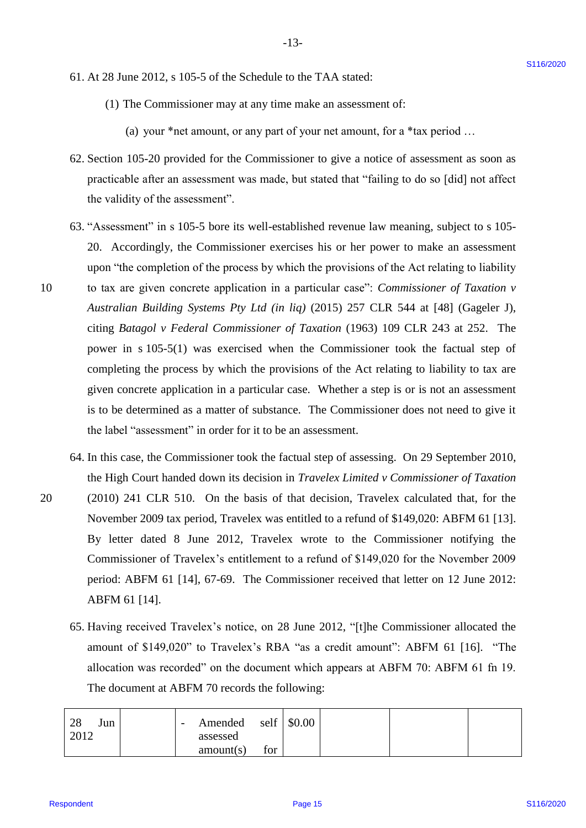- 61. At 28 June 2012, s 105-5 of the Schedule to the TAA stated: 61. At 28 June 2012, <sup>s</sup> 105-5 of the Schedule to the TAA stated:
	- (1) The Commissioner may at any time make an assessment of: (1) The Commissioner may at any time make an assessment of:

(a) your \*net amount, or any part of your net amount, for a \*tax period … (a) your \*net amount, or any part of your net amount, for <sup>a</sup> \*tax period ...

-13- -13-

- 62. Section 105-20 provided for the Commissioner to give a notice of assessment as soon as 62. Section 105-20 provided for the Commissioner to give <sup>a</sup> notice of assessment as soon as practicable after an assessment was made, but stated that "failing to do so [did] not affect practicable after an assessment was made, but stated that "failing to do so [did] not affect the validity of the assessment". the validity of the assessment".
- 63. "Assessment" in s 105-5 bore its well-established revenue law meaning, subject to s 105- 63. "Assessment" in <sup>s</sup> 105-5 bore its well-established revenue law meaning, subject to <sup>s</sup> 105- 20. Accordingly, the Commissioner exercises his or her power to make an assessment 20. Accordingly, the Commissioner exercises his or her power to make an assessment upon "the completion of the process by which the provisions of the Act relating to liability upon "the completion of the process by which the provisions of the Act relating to liability 10 to tax are given concrete application in a particular case": *Commissioner of Taxation v*  to tax are given concrete application in <sup>a</sup> particular case": Commissioner of Taxation v *Australian Building Systems Pty Ltd (in liq)* (2015) 257 CLR 544 at [48] (Gageler J), Australian Building Systems Pty Ltd (in liq) (2015) 257 CLR 544 at [48] (Gageler J), citing *Batagol v Federal Commissioner of Taxation* (1963) 109 CLR 243 at 252. The citing Batagol v Federal Commissioner of Taxation (1963) <sup>109</sup> CLR 243 at 252. The power in s 105-5(1) was exercised when the Commissioner took the factual step of power in <sup>s</sup> 105-5(1) was exercised when the Commissioner took the factual step of completing the process by which the provisions of the Act relating to liability to tax are completing the process by which the provisions of the Act relating to liability to tax are given concrete application in a particular case. Whether a step is or is not an assessment given concrete application in a particular case. Whether a step is or is not an assessment is to be determined as a matter of substance. The Commissioner does not need to give it is to be determined as a matter of substance. The Commissioner does not need to give it the label "assessment" in order for it to be an assessment. the label "'assessment" in order for it to be an assessment. 61. At 28 Jone 2012, s 105-5 of the Schedule to the TAA stands.<br>
(1) The Commissions may at any time make an assessment of.<br>
(2) you<sup>-T</sup> are averagent, as we part of your meta-mount, for a "tax period...<br>
(2) Section 105-
- 64. In this case, the Commissioner took the factual step of assessing. On 29 September 2010, 64. In this case, the Commissioner took the factual step of assessing. On 29 September 2010, the High Court handed down its decision in *Travelex Limited v Commissioner of Taxation*  the High Court handed down its decision in Travelex Limited v Commissioner of Taxation 20 (2010) 241 CLR 510. On the basis of that decision, Travelex calculated that, for the (2010) 241 CLR 510. On the basis of that decision, Travelex calculated that, for the November 2009 tax period, Travelex was entitled to a refund of \$149,020: ABFM 61 [13]. November 2009 tax period, Travelex was entitled to a refund of \$149,020: ABFM <sup>61</sup> [13]. By letter dated 8 June 2012, Travelex wrote to the Commissioner notifying the By letter dated <sup>8</sup> June 2012, Travelex wrote to the Commissioner notifying the Commissioner of Travelex's entitlement to a refund of \$149,020 for the November 2009 Commissioner of Travelex's entitlement to <sup>a</sup> refund of \$149,020 for the November 2009 period: ABFM 61 [14], 67-69. The Commissioner received that letter on 12 June 2012: period: ABFM <sup>61</sup> [14], 67-69. The Commissioner received that letter on 12 June 2012: ABFM 61 [14]. ABFM 61 [14].
	- 65. Having received Travelex's notice, on 28 June 2012, "[t]he Commissioner allocated the 65. Having received Travelex's notice, on 28 June 2012, "[t]he Commissioner allocated the amount of \$149,020" to Travelex's RBA "as a credit amount": ABFM 61 [16]. "The amount of \$149,020" to Travelex's RBA "as <sup>a</sup> credit amount": ABFM <sup>61</sup> [16]. "The allocation was recorded" on the document which appears at ABFM 70: ABFM 61 fn 19. allocation was recorded" on the document which appears at ABFM 70: ABFM 61 fn 19. The document at ABFM 70 records the following: The document at ABFM 70 records the following:

| 28<br>Jun | $\qquad \qquad \blacksquare$ | Amended self $\frac{1}{2}$ \$0.00 |     |  |  |
|-----------|------------------------------|-----------------------------------|-----|--|--|
| 2012      |                              | assessed                          |     |  |  |
|           |                              | amount(s)                         | tor |  |  |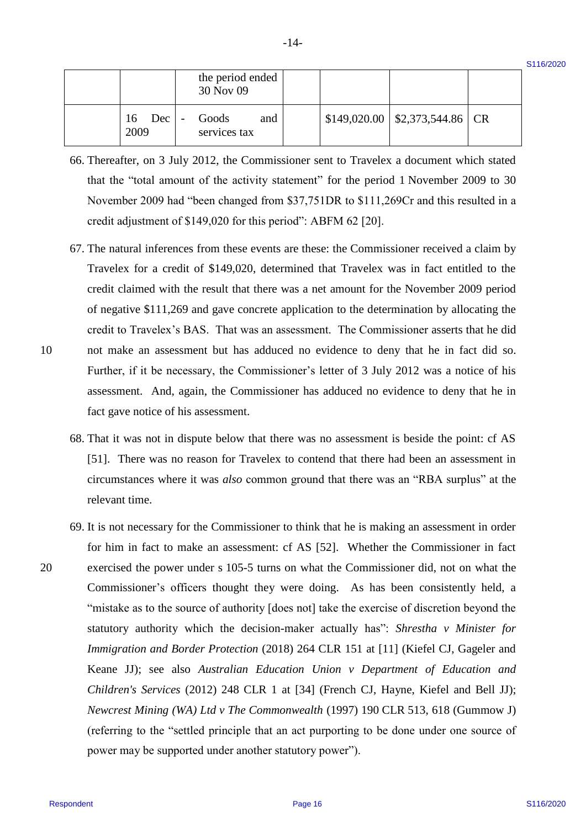\$116/2020

|                        | the period ended<br>30 Nov 09 |  |                                          |  |
|------------------------|-------------------------------|--|------------------------------------------|--|
| $16 \quad Dec$<br>2009 | Goods<br>and<br>services tax  |  | $$149,020.00 \mid $2,373,544.86 \mid CR$ |  |

 $-14-$ 

- 66. Thereafter, on 3 July 2012, the Commissioner sent to Travelex a document which stated 66. Thereafter, on 3 July 2012, the Commissioner sent to Travelex a document which stated that the "total amount of the activity statement" for the period 1 November 2009 to 30 November 2009 had "been changed from \$37,751DR to \$111,269Cr and this resulted in a November 2009 had "been changed from \$37,751DR to \$111,269Cr and this resulted in a credit adjustment of \$149,020 for this period": ABFM 62 [20]. credit adjustment of \$149,020 for this period": ABFM 62 [20].
- 67. The natural inferences from these events are these: the Commissioner received a claim by 67. The natural inferences from these events are these: the Commissioner received a claim by Travelex for a credit of \$149,020, determined that Travelex was in fact entitled to the Travelex for a credit of \$149,020, determined that Travelex was in fact entitled to the credit claimed with the result that there was a net amount for the November 2009 period credit claimed with the result that there was <sup>a</sup> net amount for the November 2009 period of negative \$111,269 and gave concrete application to the determination by allocating the of negative \$111,269 and gave concrete application to the determination by allocating the credit to Travelex's BAS. That was an assessment. The Commissioner asserts that he did credit to Travelex's BAS. That was an assessment. The Commissioner asserts that he did 10 not make an assessment but has adduced no evidence to deny that he in fact did so. not make an assessment but has adduced no evidence to deny that he in fact did so. Further, if it be necessary, the Commissioner's letter of 3 July 2012 was a notice of his Further, if it be necessary, the Commissioner's letter of <sup>3</sup> July <sup>2012</sup> was <sup>a</sup> notice of his assessment. And, again, the Commissioner has adduced no evidence to deny that he in assessment. And, again, the Commissioner has adduced no evidence to deny that he in fact gave notice of his assessment. fact gave notice of his assessment.
	- 68. That it was not in dispute below that there was no assessment is beside the point: cf AS 68. That it was not in dispute below that there was no assessment is beside the point: cf AS [51]. There was no reason for Travelex to contend that there had been an assessment in [51]. There was no reason for Travelex to contend that there had been an assessment in circumstances where it was *also* common ground that there was an "RBA surplus" at the circumstances where it was also common ground that there was an "RBA surplus" at the relevant time. relevant time.
- 69. It is not necessary for the Commissioner to think that he is making an assessment in order 69. It is not necessary for the Commissioner to think that he is making an assessment in order for him in fact to make an assessment: cf AS [52]. Whether the Commissioner in fact 20 exercised the power under s 105-5 turns on what the Commissioner did, not on what the exercised the power under <sup>s</sup> 105-5 turns on what the Commissioner did, not on what the Commissioner's officers thought they were doing. As has been consistently held, a Commissioner's officers thought they were doing. As has been consistently held, a "mistake as to the source of authority [does not] take the exercise of discretion beyond the "mistake as to the source of authority [does not] take the exercise of discretion beyond the statutory authority which the decision-maker actually has": *Shrestha v Minister for*  statutory authority which the decision-maker actually has": Shrestha v Minister for *Immigration and Border Protection* (2018) 264 CLR 151 at [11] (Kiefel CJ, Gageler and Immigration and Border Protection (2018) 264 CLR 151 at [11] (Kiefel CJ, Gageler and Keane JJ); see also *Australian Education Union v Department of Education and*  Keane JJ); see also Australian Education Union v Department of Education and *Children's Services* (2012) 248 CLR 1 at [34] (French CJ, Hayne, Kiefel and Bell JJ); Children's Services (2012) 248 CLR <sup>1</sup> at [34] (French CJ, Hayne, Kiefel and Bell JJ); *Newcrest Mining (WA) Ltd v The Commonwealth* (1997) 190 CLR 513, 618 (Gummow J) Newcrest Mining (WA) Ltd v The Commonwealth (1997) 190CLR 513, 618 (Gummow J) (referring to the "settled principle that an act purporting to be done under one source of (referring to the "settled principle that an act purporting to be done under one source of power may be supported under another statutory power"). power may be supported under another statutory power''). **EXECUTE:** The method with the spectral end of the spectral end of the spectral end of the spectra of the spectra of the spectra of the spectra of the spectra of the spectra of the spectra of the spectra of the spectra of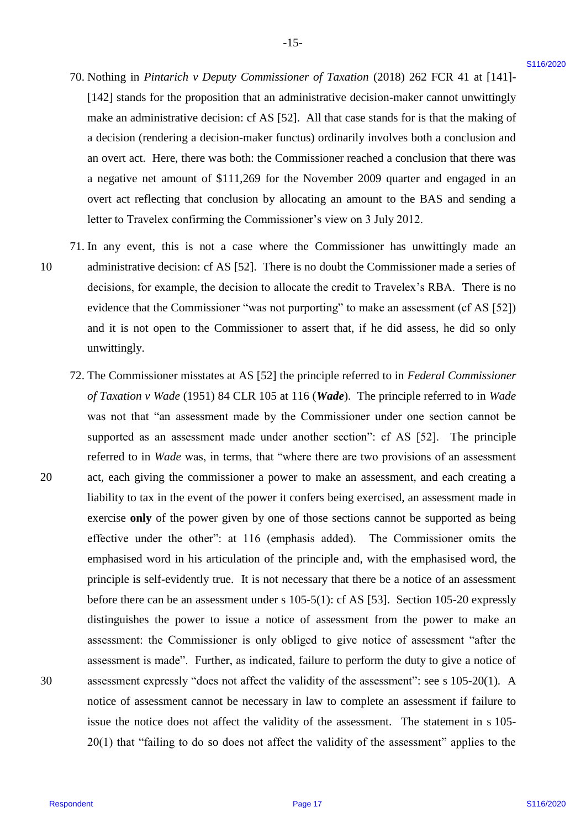- 70. Nothing in *Pintarich v Deputy Commissioner of Taxation* (2018) 262 FCR 41 at [141]- 70. Nothing in Pintarich v Deputy Commissioner of Taxation (2018) 262 FCR <sup>41</sup> at [141]- [142] stands for the proposition that an administrative decision-maker cannot unwittingly [142] stands for the proposition that an administrative decision-maker cannot unwittingly make an administrative decision: cf AS [52]. All that case stands for is that the making of make an administrative decision: cf AS [52]. All that case stands for is that the making of a decision (rendering a decision-maker functus) ordinarily involves both a conclusion and <sup>a</sup> decision (rendering <sup>a</sup> decision-maker functus) ordinarily involves both <sup>a</sup> conclusion and an overt act. Here, there was both: the Commissioner reached a conclusion that there was an overt act. Here, there was both: the Commissioner reached a conclusion that there was a negative net amount of \$111,269 for the November 2009 quarter and engaged in an <sup>a</sup> negative net amount of \$111,269 for the November 2009 quarter and engaged in an overt act reflecting that conclusion by allocating an amount to the BAS and sending a letter to Travelex confirming the Commissioner's view on 3 July 2012. letter to Travelex confirming the Commissioner's view on <sup>3</sup> July 2012.
- 71. In any event, this is not a case where the Commissioner has unwittingly made an 71. In any event, this is not <sup>a</sup> case where the Commissioner has unwittingly made an 10 administrative decision: cf AS [52]. There is no doubt the Commissioner made a series of decisions, for example, the decision to allocate the credit to Travelex's RBA. There is no decisions, for example, the decision to allocate the credit to Travelex's RBA. There is no evidence that the Commissioner "was not purporting" to make an assessment (cf AS [52]) evidence that the Commissioner "was not purporting" to make an assessment (cf AS [52]) and it is not open to the Commissioner to assert that, if he did assess, he did so only and it is not open to the Commissioner to assert that, if he did assess, he did so only unwittingly. unwittingly. 10
- 72. The Commissioner misstates at AS [52] the principle referred to in *Federal Commissioner*  72. The Commissioner misstates at AS [52] the principle referred to in Federal Commissioner of Taxation v Wade (1951) 84 CLR 105 at 116 (Wade). The principle referred to in Wade was not that "an assessment made by the Commissioner under one section cannot be was not that "an assessment made by the Commissioner under one section cannot be supported as an assessment made under another section": cf AS [52]. The principle supported as an assessment made under another section": cf AS [52]. The principle referred to in *Wade* was, in terms, that "where there are two provisions of an assessment 20 act, each giving the commissioner a power to make an assessment, and each creating a liability to tax in the event of the power it confers being exercised, an assessment made in liability to tax in the event of the power it confers being exercised, an assessment made in exercise **only** of the power given by one of those sections cannot be supported as being exercise only of the power given by one of those sections cannot be supported as being effective under the other": at 116 (emphasis added). The Commissioner omits the effective under the other": at 116 (emphasis added). The Commissioner omits the emphasised word in his articulation of the principle and, with the emphasised word, the principle is self-evidently true. It is not necessary that there be a notice of an assessment principle is self-evidently true. It is not necessary that there be <sup>a</sup> notice of an assessment before there can be an assessment under s 105-5(1): cf AS [53]. Section 105-20 expressly before there can be an assessment under <sup>s</sup> 105-5(1): cf AS [53]. Section 105-20 expressly distinguishes the power to issue a notice of assessment from the power to make an assessment: the Commissioner is only obliged to give notice of assessment "after the assessment: the Commissioner is only obliged to give notice of assessment "after the assessment is made". Further, as indicated, failure to perform the duty to give a notice of assessment is made". Further, as indicated, failure to perform the duty to give <sup>a</sup> notice of 30 assessment expressly "does not affect the validity of the assessment": see s 105-20(1). A assessment expressly "does not affect the validity of the assessment": see <sup>s</sup> 105-20(1). A notice of assessment cannot be necessary in law to complete an assessment if failure to notice of assessment cannot be necessary in law to complete an assessment if failure to issue the notice does not affect the validity of the assessment. The statement in s 105-20(1) that "failing to do so does not affect the validity of the assessment" applies to the 20(1) that "failing to do so does not affect the validity of the assessment" applies to the 70. Nothing in *Pirotansk + Deputy* Comenizatore of Tocation (2018) 262 PCR +1 a [141]-<br>[142] standario the proposition from an admission of a standard control to the standard of the standard in the proposition of the sta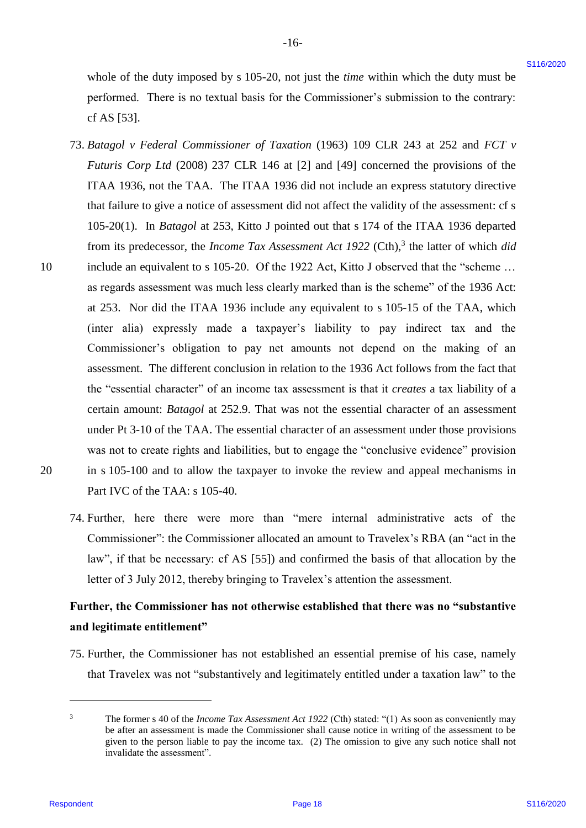whole of the duty imposed by s 105-20, not just the *time* within which the duty must be performed. There is no textual basis for the Commissioner's submission to the contrary: performed. There is no textual basis for the Commissioner's submission to the contrary: cf AS [53]. cf AS [53].

-16- -16-

- 73. *Batagol v Federal Commissioner of Taxation* (1963) 109 CLR 243 at 252 and *FCT v*  73. Batagol v Federal Commissioner of Taxation (1963) 109 CLR 243 at 252 and FCT v *Futuris Corp Ltd* (2008) 237 CLR 146 at [2] and [49] concerned the provisions of the Futuris Corp Ltd (2008) 237 CLR 146 at [2] and [49] concerned the provisions of the ITAA 1936, not the TAA. The ITAA 1936 did not include an express statutory directive ITAA 1936, not the TAA. The ITAA 1936 did not include an express statutory directive that failure to give a notice of assessment did not affect the validity of the assessment: cf s that failure to give <sup>a</sup> notice of assessment did not affect the validity of the assessment: cf <sup>s</sup> 105-20(1). In *Batagol* at 253, Kitto J pointed out that s 174 of the ITAA 1936 departed 105-20(1). In Batagol at 253, Kitto <sup>J</sup> pointed out that <sup>s</sup> 174 of the ITAA 1936 departed from its predecessor, the *Income Tax Assessment Act 1922* (Cth),<sup>3</sup> the latter of which *did* 10 include an equivalent to s 105-20. Of the 1922 Act, Kitto J observed that the "scheme … include an equivalent to <sup>s</sup> 105-20. Of the 1922 Act, Kitto <sup>J</sup> observed that the "scheme ... as regards assessment was much less clearly marked than is the scheme" of the 1936 Act: as regards assessment was much less clearly marked than is the scheme" of the 1936 Act: at 253. Nor did the ITAA 1936 include any equivalent to s 105-15 of the TAA, which at 253. Nor did the ITAA 1936 include any equivalent to <sup>s</sup> 105-15 of the TAA, which (inter alia) expressly made a taxpayer's liability to pay indirect tax and the (inter alia) expressly made a taxpayer's liability to pay indirect tax and\_ the Commissioner's obligation to pay net amounts not depend on the making of an Commissioner's obligation to pay net amounts not depend on the making of an assessment. The different conclusion in relation to the 1936 Act follows from the fact that assessment. The different conclusion in relation to the 1936 Act follows from the fact that the "essential character" of an income tax assessment is that it *creates* a tax liability of a the "essential character" of an income tax assessment is that it creates <sup>a</sup> tax liability of <sup>a</sup> certain amount: Batagol at 252.9. That was not the essential character of an assessment under Pt 3-10 of the TAA. The essential character of an assessment under those provisions under Pt 3-10 of the TAA. The essential character of an assessment under those provisions was not to create rights and liabilities, but to engage the "conclusive evidence" provision was not to create rights and liabilities, but to engage the "conclusive evidence" provision 20 in s 105-100 and to allow the taxpayer to invoke the review and appeal mechanisms in in <sup>s</sup> 105-100 and to allow the taxpayer to invoke the review and appeal mechanisms in Part IVC of the TAA: s 105-40. Part IVC of the TAA: <sup>s</sup> 105-40. whole of the duty imposed by s 105-20, not just the slow within which the duty must be<br>performed. There is no tertual basis for the Commission<br>or "submosters in the commercy.<br>
The signal is Fielderd Constations<br>or of Taxa
- 20

10

74. Further, here there were more than "mere internal administrative acts of the 74. Further, here there were more than "mere internal administrative acts of the Commissioner": the Commissioner allocated an amount to Travelex's RBA (an "act in the Commissioner': the Commissioner allocated an amount to Travelex's RBA (an "act in the law", if that be necessary: cf AS [55]) and confirmed the basis of that allocation by the letter of 3 July 2012, thereby bringing to Travelex's attention the assessment. letter of <sup>3</sup> July 2012, thereby bringing to Travelex's attention the assessment.

# **Further, the Commissioner has not otherwise established that there was no "substantive**  Further, the Commissioner has not otherwise established that there was no "substantive **and legitimate entitlement"** and legitimate entitlement"

75. Further, the Commissioner has not established an essential premise of his case, namely 75. Further, the Commissioner has not established an essential premise of his case, namely that Travelex was not "substantively and legitimately entitled under a taxation law" to the that Travelex was not "substantively and legitimately entitled under a taxation law" to the

 $\overline{a}$ 

<sup>&</sup>lt;sup>3</sup> The former s 40 of the *Income Tax Assessment Act 1922* (Cth) stated: "(1) As soon as conveniently may be after an assessment is made the Commissioner shall cause notice in writing of the assessment to be be after an assessment is made the Commissioner shall cause notice in writing of the assessment to be given to the person liable to pay the income tax. (2) The omission to give any such notice shall not given to the person liable to pay the income tax. (2) The omission to give any such notice shall not invalidate the assessment". invalidate the assessment".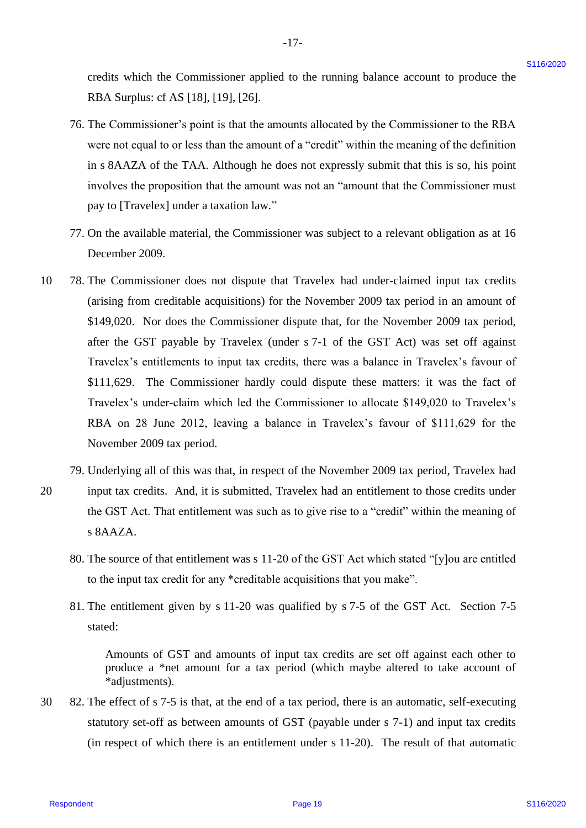credits which the Commissioner applied to the running balance account to produce the credits which the Commissioner applied to the running balance account to produce the RBA Surplus: cf AS [18], [19], [26]. RBA Surplus: cf AS [18], [19], [26].

 $-17-$ 

- 76. The Commissioner's point is that the amounts allocated by the Commissioner to the RBA 76. The Commissioner's point is that the amounts allocated by the Commissioner to the RBA were not equal to or less than the amount of a "credit" within the meaning of the definition were not equal to or less than the amount of <sup>a</sup> "credit" within the meaning of the definition in s 8AAZA of the TAA. Although he does not expressly submit that this is so, his point in <sup>s</sup> 8AAZA of the TAA. Although he does not expressly submit that this is so, his point involves the proposition that the amount was not an "amount that the Commissioner must involves the proposition that the amount was not an "amount that the Commissioner must pay to [Travelex] under a taxation law." pay to [Travelex] under <sup>a</sup> taxation law."
- 77. On the available material, the Commissioner was subject to a relevant obligation as at 16 77. On the available material, the Commissioner was subject to <sup>a</sup> relevant obligation as at 16 December 2009. December 2009.
- 10 78. The Commissioner does not dispute that Travelex had under-claimed input tax credits 78. The Commissioner does not dispute that Travelex had under-claimed input tax credits (arising from creditable acquisitions) for the November 2009 tax period in an amount of (arising from creditable acquisitions) for the November 2009 tax period in an amount of \$149,020. Nor does the Commissioner dispute that, for the November 2009 tax period, \$149,020. Nor does the Commissioner dispute that, for the November 2009 tax period, after the GST payable by Travelex (under s 7-1 of the GST Act) was set off against after the GST payable by Travelex (under <sup>s</sup> 7-1 of the GST Act) was set off against Travelex's entitlements to input tax credits, there was a balance in Travelex's favour of Travelex's entitlements to input tax credits, there was <sup>a</sup> balance in Travelex's favour of \$111,629. The Commissioner hardly could dispute these matters: it was the fact of \$111,629. The Commissioner hardly could dispute these matters: it was the fact of Travelex's under-claim which led the Commissioner to allocate \$149,020 to Travelex's Travelex's under-claim which led the Commissioner to allocate \$149,020 to Travelex's RBA on 28 June 2012, leaving a balance in Travelex's favour of \$111,629 for the RBA on <sup>28</sup> June 2012, leaving <sup>a</sup> balance in Travelex's favour of \$111,629 for the November 2009 tax period. November 2009 tax period. eradia which the Commissioner applied to the running balance account to produce the<br>
RPs Asyrigue cf. AS [18], [19], [19], [19], [19]<br>
The Commissioner applied to the runner attitude by the Commissioner to the RIA<br>
were a 10
- 79. Underlying all of this was that, in respect of the November 2009 tax period, Travelex had 79. Underlying all of this was that, in respect of the November 2009 tax period, Travelex had 20 input tax credits. And, it is submitted, Travelex had an entitlement to those credits under input tax credits. And, it is submitted, Travelex had an entitlement to those credits under the GST Act. That entitlement was such as to give rise to a "credit" within the meaning of s 8AAZA. 20
	- 80. The source of that entitlement was s 11-20 of the GST Act which stated "[y]ou are entitled 80. The source of that entitlement was <sup>s</sup> 11-20 of the GST Act which stated "[y]ou are entitled to the input tax credit for any \*creditable acquisitions that you make". to the input tax credit for any \*creditable acquisitions that you make".
	- 81. The entitlement given by s 11-20 was qualified by s 7-5 of the GST Act. Section 7-5 81. The entitlement given by <sup>s</sup> 11-20 was qualified by <sup>s</sup> 7-5 of the GST Act. Section 7-5 stated: stated:

Amounts of GST and amounts of input tax credits are set off against each other to Amounts of GST and amounts of input tax credits are set off against each other to produce a \*net amount for a tax period (which maybe altered to take account of produce <sup>a</sup> \*net amount for <sup>a</sup> tax period (which maybe altered to take account of \*adjustments). \*adjustments).

30 82. The effect of s 7-5 is that, at the end of a tax period, there is an automatic, self-executing 82. The effect of <sup>s</sup> 7-5 is that, at the end of <sup>a</sup> tax period, there is an automatic, self-executing statutory set-off as between amounts of GST (payable under s 7-1) and input tax credits statutory set-off as between amounts of GST (payable under <sup>s</sup> 7-1) and input tax credits (in respect of which there is an entitlement under s 11-20). The result of that automatic (in respect of which there is an entitlement under <sup>s</sup> 11-20). The result of that automatic 30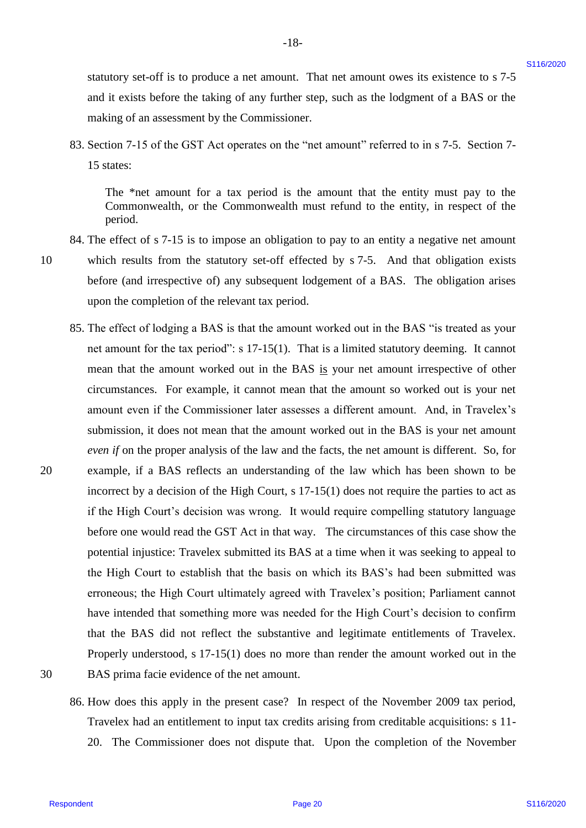statutory set-off is to produce a net amount. That net amount owes its existence to s 7-5 statutory set-off is to produce a net amount. That net amount owes its existence to <sup>s</sup> 7-5 and it exists before the taking of any further step, such as the lodgment of a BAS or the and it exists before the taking of any further step, such as the lodgment of <sup>a</sup> BAS or the making of an assessment by the Commissioner. making of an assessment by the Commissioner.

-18- -18-

83. Section 7-15 of the GST Act operates on the "net amount" referred to in s 7-5. Section 7- 83. Section 7-15 of the GST Act operates on the "net amount" referred to in <sup>s</sup> 7-5. Section 7- 15 states: 15 states:

The \*net amount for a tax period is the amount that the entity must pay to the The \*net amount for <sup>a</sup> tax period is the amount that the entity must pay to the Commonwealth, or the Commonwealth must refund to the entity, in respect of the Commonwealth, or the Commonwealth must refund to the entity, in respect of the period. period.

84. The effect of s 7-15 is to impose an obligation to pay to an entity a negative net amount 84. The effect of <sup>s</sup> 7-15 is to impose an obligation to pay to an entity a negative net amount

10

20

10 which results from the statutory set-off effected by s 7-5. And that obligation exists which results from the statutory set-off effected by <sup>s</sup> 7-5. And that obligation exists before (and irrespective of) any subsequent lodgement of a BAS. The obligation arises before (and irrespective of) any subsequent lodgement of a BAS. The obligation arises upon the completion of the relevant tax period. upon the completion of the relevant tax period.

- 85. The effect of lodging a BAS is that the amount worked out in the BAS "is treated as your 85. The effect of lodging <sup>a</sup> BAS is that the amount worked out in the BAS "is treated as your net amount for the tax period": s 17-15(1). That is a limited statutory deeming. It cannot net amount for the tax period": <sup>s</sup> 17-15(1). That is <sup>a</sup> limited statutory deeming. It cannot mean that the amount worked out in the BAS is your net amount irrespective of other circumstances. For example, it cannot mean that the amount so worked out is your net circumstances. For example, it cannot mean that the amount so worked out is your net amount even if the Commissioner later assesses a different amount. And, in Travelex's amount even if the Commissioner later assesses <sup>a</sup> different amount. And, in Travelex's submission, it does not mean that the amount worked out in the BAS is your net amount submission, it does not mean that the amount worked out in the BAS is your net amount even if on the proper analysis of the law and the facts, the net amount is different. So, for 20 example, if a BAS reflects an understanding of the law which has been shown to be incorrect by a decision of the High Court, s 17-15(1) does not require the parties to act as incorrect by <sup>a</sup> decision of the High Court, <sup>s</sup> 17-15(1) does not require the parties to act as if the High Court's decision was wrong. It would require compelling statutory language if the High Court's decision was wrong. It would require compelling statutory language before one would read the GST Act in that way. The circumstances of this case show the before one would read the GST Act in that way. The circumstances of this case show the potential injustice: Travelex submitted its BAS at a time when it was seeking to appeal to potential injustice: Travelex submitted its BAS at <sup>a</sup> time when it was seeking to appeal to the High Court to establish that the basis on which its BAS's had been submitted was the High Court to establish that the basis on which its BAS's had been submitted was erroneous; the High Court ultimately agreed with Travelex's position; Parliament cannot erroneous; the High Court ultimately agreed with Travelex's position; Parliament cannot have intended that something more was needed for the High Court's decision to confirm have intended that something more was needed for the High Court's decision to confirm that the BAS did not reflect the substantive and legitimate entitlements of Travelex. that the BAS did not reflect the substantive and legitimate entitlements of Travelex. Properly understood, s 17-15(1) does no more than render the amount worked out in the Properly understood, <sup>s</sup> 17-15(1) does no more than render the amount worked out in the 30 BAS prima facie evidence of the net amount. BAS prima facie evidence of the net amount. stanting yeal-off is to produce a net amount. That net amount over its existence to  $s$ ?-5<br>
and the size before the ralong of my formlessing to year and as the entropy stand as the entropy stand as the size of a fit and t
- 30

86. How does this apply in the present case? In respect of the November 2009 tax period, 86. How does this apply in the present case? In respect of the November 2009 tax period, Travelex had an entitlement to input tax credits arising from creditable acquisitions: s 11- Travelex had an entitlement to input tax credits arising from creditable acquisitions: <sup>s</sup> 11- 20. The Commissioner does not dispute that. Upon the completion of the November 20. The Commissioner does not dispute that. Upon the completion of the November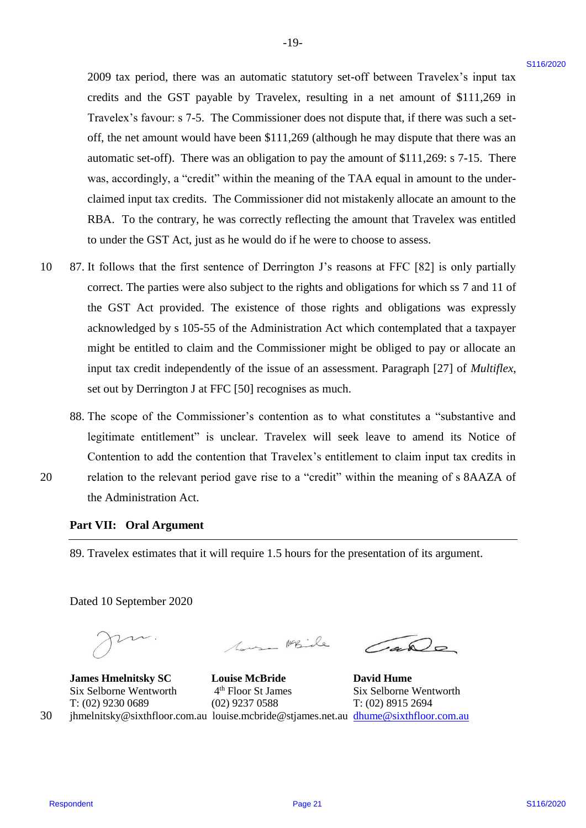2009 tax period, there was an automatic statutory set-off between Travelex's input tax 2009 tax period, there was an automatic statutory set-off between Travelex's input tax credits and the GST payable by Travelex, resulting in a net amount of \$111,269 in credits and the GST payable by Travelex, resulting in a net amount of \$111,269 in Travelex's favour: s 7-5. The Commissioner does not dispute that, if there was such a set-Travelex's favour: <sup>s</sup> 7-5. The Commissioner does not dispute that, ifthere was such <sup>a</sup> setoff, the net amount would have been \$111,269 (although he may dispute that there was an automatic set-off). There was an obligation to pay the amount of \$111,269: s 7-15. There automatic set-off). There was an obligation to pay the amount of \$111,269: <sup>s</sup> 7-15. There was, accordingly, a "credit" within the meaning of the TAA equal in amount to the under-was, accordingly, <sup>a</sup> "credit" within the meaning of the TAA equal in amount to the underclaimed input tax credits. The Commissioner did not mistakenly allocate an amount to the claimed input tax credits. The Commissioner did not mistakenly allocate an amount to the RBA. To the contrary, he was correctly reflecting the amount that Travelex was entitled RBA. To the contrary, he was correctly reflecting the amount that Travelex was entitled to under the GST Act, just as he would do if he were to choose to assess. to under the GST Act, just as he would do if he were to choose to assess. 2009 tax positol, there was an antennatio statutory set-off between Travelets's and the GNY required in each care was the state and the GNY required in the S11.200 s.<br>Travelets' state (FIT required inclusive contact dispu

-19- -19-

- 10 87. It follows that the first sentence of Derrington J's reasons at FFC [82] is only partially 87. It follows that the first sentence of Derrington J's reasons at FFC [82] is only partially correct. The parties were also subject to the rights and obligations for which ss 7 and 11 of correct. The parties were also subject to the rights and obligations for which ss 7 and <sup>11</sup> of the GST Act provided. The existence of those rights and obligations was expressly the GST Act provided. The existence of those rights and obligations was expressly acknowledged by s 105-55 of the Administration Act which contemplated that a taxpayer acknowledged by <sup>s</sup> 105-55 of the Administration Act which contemplated that a taxpayer might be entitled to claim and the Commissioner might be obliged to pay or allocate an might be entitled to claim and the Commissioner might be obliged to pay or allocate an input tax credit independently of the issue of an assessment. Paragraph [27] of *Multiflex*, input tax credit independently of the issue of an assessment. Paragraph [27] of Multiflex, set out by Derrington J at FFC [50] recognises as much. 10
- 88. The scope of the Commissioner's contention as to what constitutes a "substantive and 88. The scope of the Commissioner's contention as to what constitutes <sup>a</sup> "substantive and legitimate entitlement" is unclear. Travelex will seek leave to amend its Notice of legitimate entitlement" is unclear. Travelex will seek leave to amend its Notice of Contention to add the contention that Travelex's entitlement to claim input tax credits in Contention to add the contention that Travelex's entitlement to claim input tax credits in 20 relation to the relevant period gave rise to a "credit" within the meaning of s 8AAZA of
- 20

**Part VII: Oral Argument** Part VII: Oral Argument

the Administration Act. the Administration Act.

89. Travelex estimates that it will require 1.5 hours for the presentation of its argument. 89. Travelex estimates that it will require 1.5 hours for the presentation of its argument.

Dated 10 September 2020 Dated 10 September 2020

 $\subset$ 

1000 Mbile (400

**James Hmelnitsky SC Louise McBride David Hume** James Hmelnitsky SC Louise McBride David Hume Six Selborne Wentworth  $4<sup>th</sup>$  Floor St James Six Selborne Wentworth 4<sup>th</sup> Floor St James Six Selborne Wentworth T: (02) 9230 0689 (02) 9237 0588 T: (02) 8915 2694 T: (02) 9230 0689 (02) 9237 0588 T: (02) 8915 2694 30 jhmelnitsky@sixthfloor.com.au louise.mcbride@stjames.net.au **[dhume@sixthfloor.com.au](mailto:dhume@sixthfloor.com.au)**